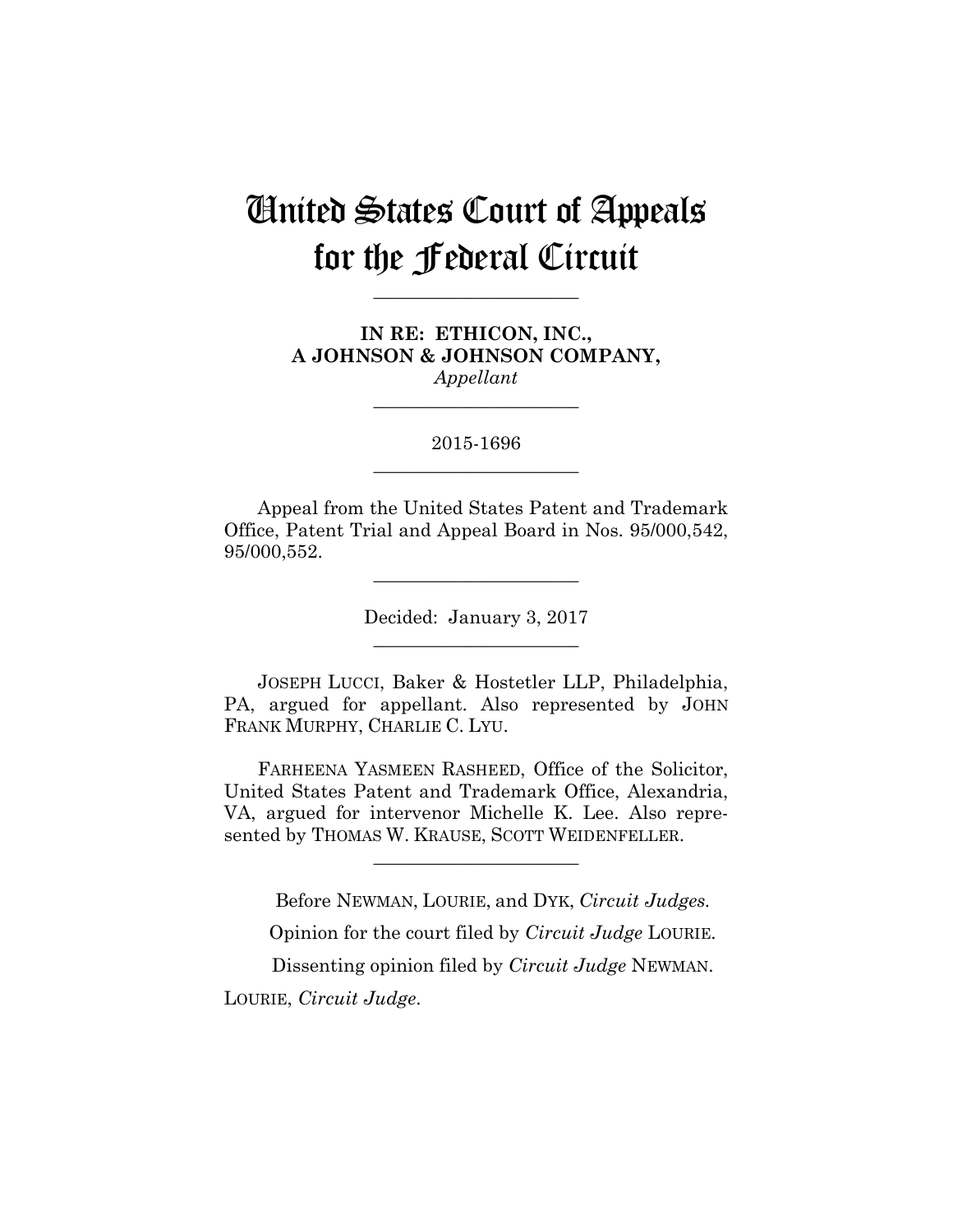# United States Court of Appeals for the Federal Circuit

**\_\_\_\_\_\_\_\_\_\_\_\_\_\_\_\_\_\_\_\_\_\_** 

**IN RE: ETHICON, INC., A JOHNSON & JOHNSON COMPANY,** *Appellant*

> 2015-1696 **\_\_\_\_\_\_\_\_\_\_\_\_\_\_\_\_\_\_\_\_\_\_**

> **\_\_\_\_\_\_\_\_\_\_\_\_\_\_\_\_\_\_\_\_\_\_**

Appeal from the United States Patent and Trademark Office, Patent Trial and Appeal Board in Nos. 95/000,542, 95/000,552.

> Decided: January 3, 2017 **\_\_\_\_\_\_\_\_\_\_\_\_\_\_\_\_\_\_\_\_\_\_**

**\_\_\_\_\_\_\_\_\_\_\_\_\_\_\_\_\_\_\_\_\_\_** 

JOSEPH LUCCI, Baker & Hostetler LLP, Philadelphia, PA, argued for appellant. Also represented by JOHN FRANK MURPHY, CHARLIE C. LYU.

FARHEENA YASMEEN RASHEED, Office of the Solicitor, United States Patent and Trademark Office, Alexandria, VA, argued for intervenor Michelle K. Lee. Also represented by THOMAS W. KRAUSE, SCOTT WEIDENFELLER.

**\_\_\_\_\_\_\_\_\_\_\_\_\_\_\_\_\_\_\_\_\_\_** 

Before NEWMAN, LOURIE, and DYK, *Circuit Judges.*

Opinion for the court filed by *Circuit Judge* LOURIE.

Dissenting opinion filed by *Circuit Judge* NEWMAN.

LOURIE, *Circuit Judge*.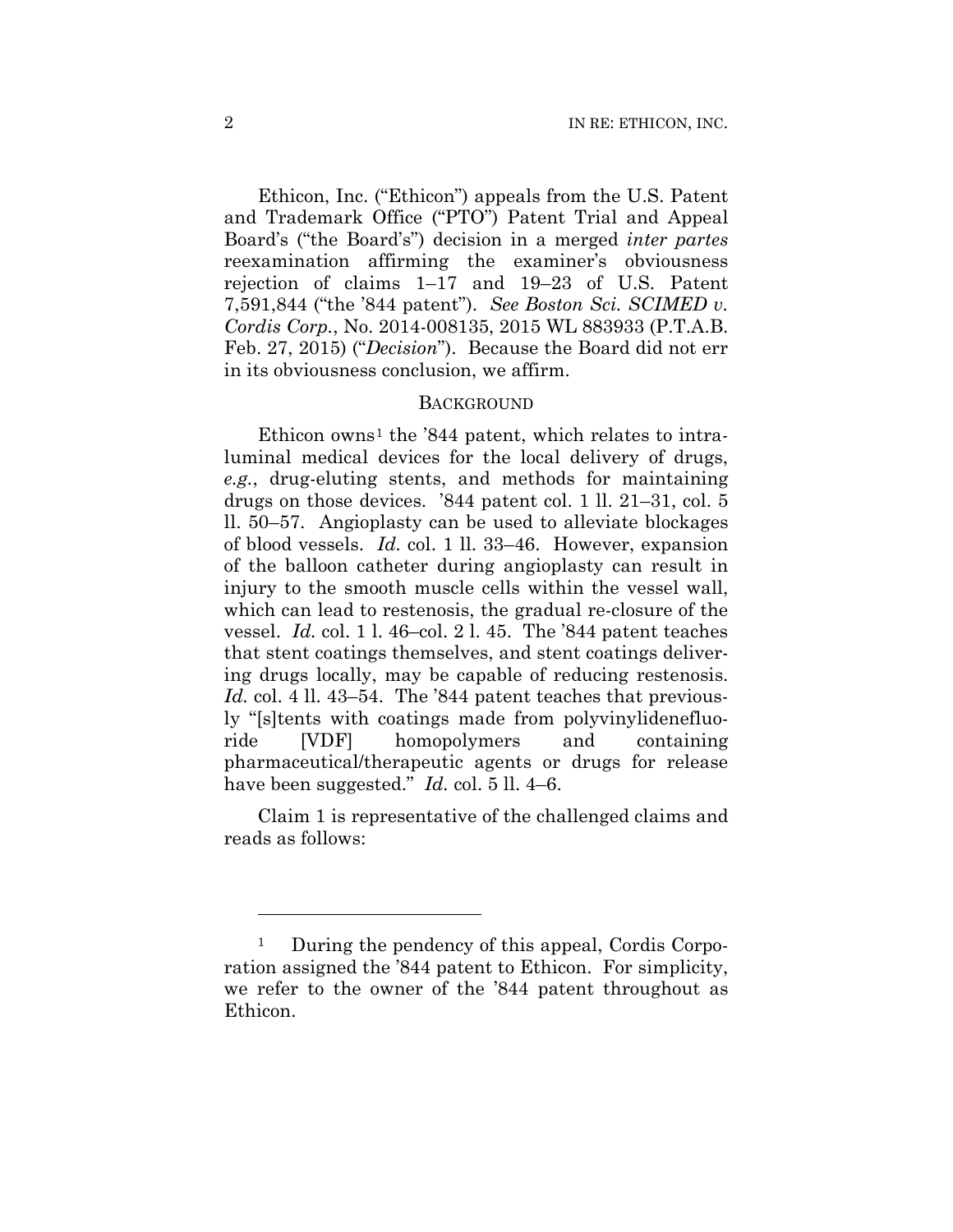Ethicon, Inc. ("Ethicon") appeals from the U.S. Patent and Trademark Office ("PTO") Patent Trial and Appeal Board's ("the Board's") decision in a merged *inter partes* reexamination affirming the examiner's obviousness rejection of claims 1–17 and 19–23 of U.S. Patent 7,591,844 ("the '844 patent"). *See Boston Sci. SCIMED v. Cordis Corp.*, No. 2014-008135, 2015 WL 883933 (P.T.A.B. Feb. 27, 2015) ("*Decision*"). Because the Board did not err in its obviousness conclusion, we affirm.

### **BACKGROUND**

Ethicon owns<sup>1</sup> the  $344$  patent, which relates to intraluminal medical devices for the local delivery of drugs, *e.g.*, drug-eluting stents, and methods for maintaining drugs on those devices. '844 patent col. 1 ll. 21–31, col. 5 ll. 50–57. Angioplasty can be used to alleviate blockages of blood vessels. *Id.* col. 1 ll. 33–46. However, expansion of the balloon catheter during angioplasty can result in injury to the smooth muscle cells within the vessel wall, which can lead to restenosis, the gradual re-closure of the vessel. *Id.* col. 1 l. 46–col. 2 l. 45. The '844 patent teaches that stent coatings themselves, and stent coatings delivering drugs locally, may be capable of reducing restenosis. *Id.* col. 4 ll. 43–54. The '844 patent teaches that previously "[s]tents with coatings made from polyvinylidenefluoride [VDF] homopolymers and containing pharmaceutical/therapeutic agents or drugs for release have been suggested." *Id.* col. 5 ll. 4–6.

Claim 1 is representative of the challenged claims and reads as follows:

1

During the pendency of this appeal, Cordis Corporation assigned the '844 patent to Ethicon. For simplicity, we refer to the owner of the '844 patent throughout as Ethicon.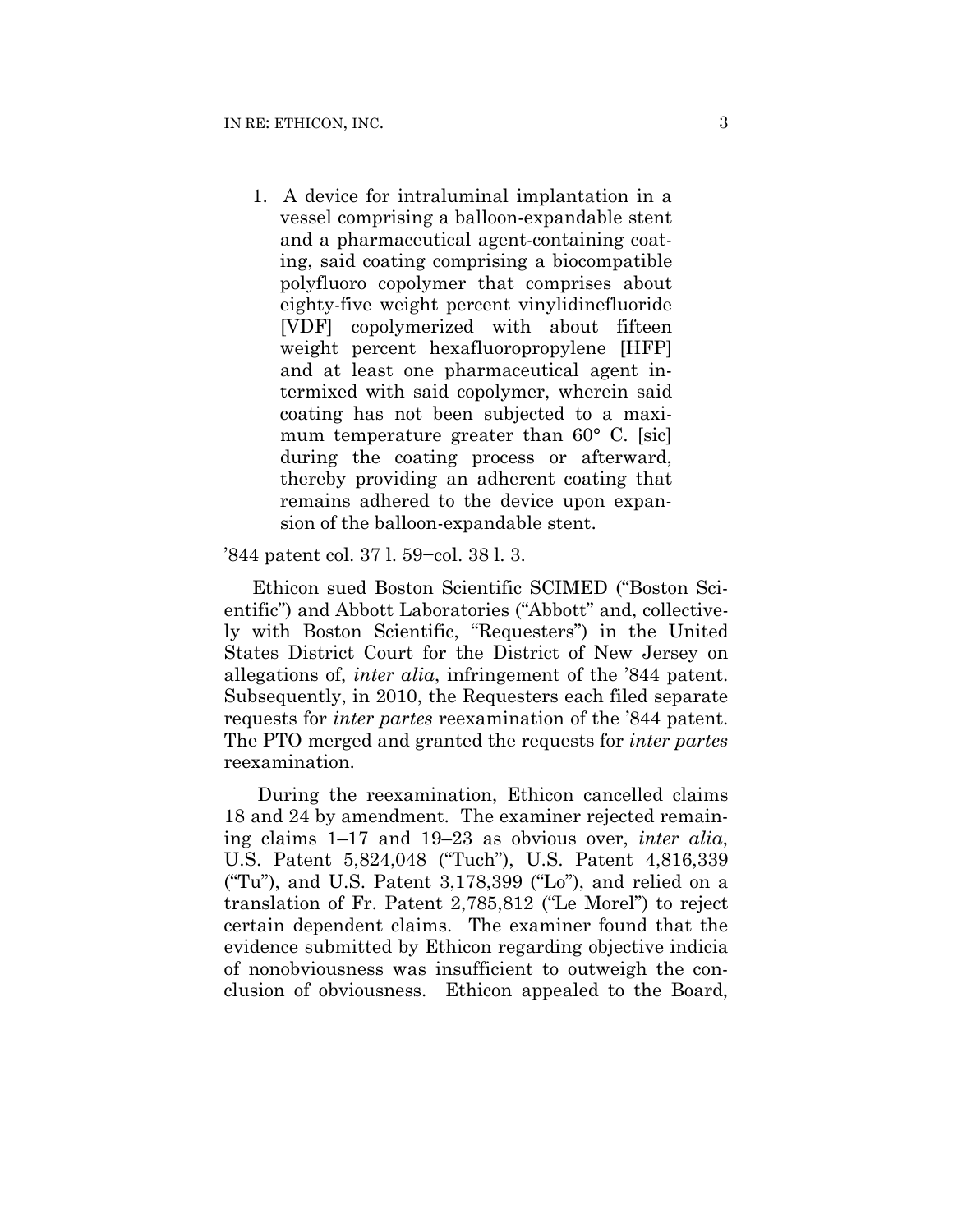1. A device for intraluminal implantation in a vessel comprising a balloon-expandable stent and a pharmaceutical agent-containing coating, said coating comprising a biocompatible polyfluoro copolymer that comprises about eighty-five weight percent vinylidinefluoride [VDF] copolymerized with about fifteen weight percent hexafluoropropylene [HFP] and at least one pharmaceutical agent intermixed with said copolymer, wherein said coating has not been subjected to a maximum temperature greater than 60° C. [sic] during the coating process or afterward, thereby providing an adherent coating that remains adhered to the device upon expansion of the balloon-expandable stent.

### '844 patent col. 37 l. 59−col. 38 l. 3.

Ethicon sued Boston Scientific SCIMED ("Boston Scientific") and Abbott Laboratories ("Abbott" and, collectively with Boston Scientific, "Requesters") in the United States District Court for the District of New Jersey on allegations of, *inter alia*, infringement of the '844 patent. Subsequently, in 2010, the Requesters each filed separate requests for *inter partes* reexamination of the '844 patent. The PTO merged and granted the requests for *inter partes* reexamination.

During the reexamination, Ethicon cancelled claims 18 and 24 by amendment. The examiner rejected remaining claims 1–17 and 19–23 as obvious over, *inter alia*, U.S. Patent 5,824,048 ("Tuch"), U.S. Patent 4,816,339 ("Tu"), and U.S. Patent 3,178,399 ("Lo"), and relied on a translation of Fr. Patent 2,785,812 ("Le Morel") to reject certain dependent claims. The examiner found that the evidence submitted by Ethicon regarding objective indicia of nonobviousness was insufficient to outweigh the conclusion of obviousness. Ethicon appealed to the Board,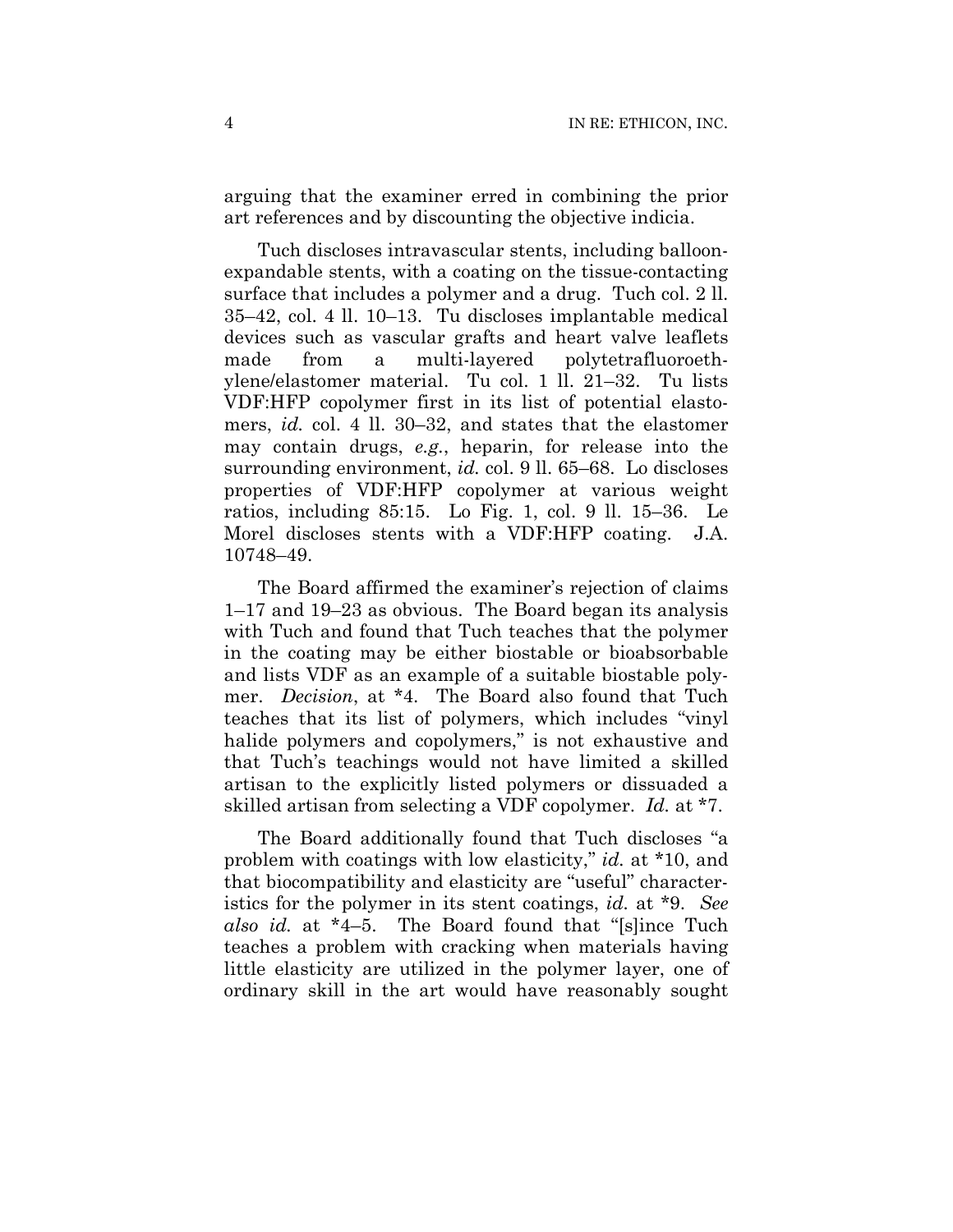arguing that the examiner erred in combining the prior art references and by discounting the objective indicia.

Tuch discloses intravascular stents, including balloonexpandable stents, with a coating on the tissue-contacting surface that includes a polymer and a drug. Tuch col. 2 ll. 35–42, col. 4 ll. 10–13. Tu discloses implantable medical devices such as vascular grafts and heart valve leaflets made from a multi-layered polytetrafluoroethylene/elastomer material. Tu col. 1 ll. 21–32. Tu lists VDF:HFP copolymer first in its list of potential elastomers, *id.* col. 4 ll. 30–32, and states that the elastomer may contain drugs, *e.g.*, heparin, for release into the surrounding environment, *id.* col. 9 ll. 65–68. Lo discloses properties of VDF:HFP copolymer at various weight ratios, including 85:15. Lo Fig. 1, col. 9 ll. 15–36. Le Morel discloses stents with a VDF:HFP coating. J.A. 10748–49.

The Board affirmed the examiner's rejection of claims 1–17 and 19–23 as obvious. The Board began its analysis with Tuch and found that Tuch teaches that the polymer in the coating may be either biostable or bioabsorbable and lists VDF as an example of a suitable biostable polymer. *Decision*, at \*4. The Board also found that Tuch teaches that its list of polymers, which includes "vinyl halide polymers and copolymers," is not exhaustive and that Tuch's teachings would not have limited a skilled artisan to the explicitly listed polymers or dissuaded a skilled artisan from selecting a VDF copolymer. *Id.* at \*7.

The Board additionally found that Tuch discloses "a problem with coatings with low elasticity," *id.* at \*10, and that biocompatibility and elasticity are "useful" characteristics for the polymer in its stent coatings, *id.* at \*9. *See also id.* at \*4–5. The Board found that "[s]ince Tuch teaches a problem with cracking when materials having little elasticity are utilized in the polymer layer, one of ordinary skill in the art would have reasonably sought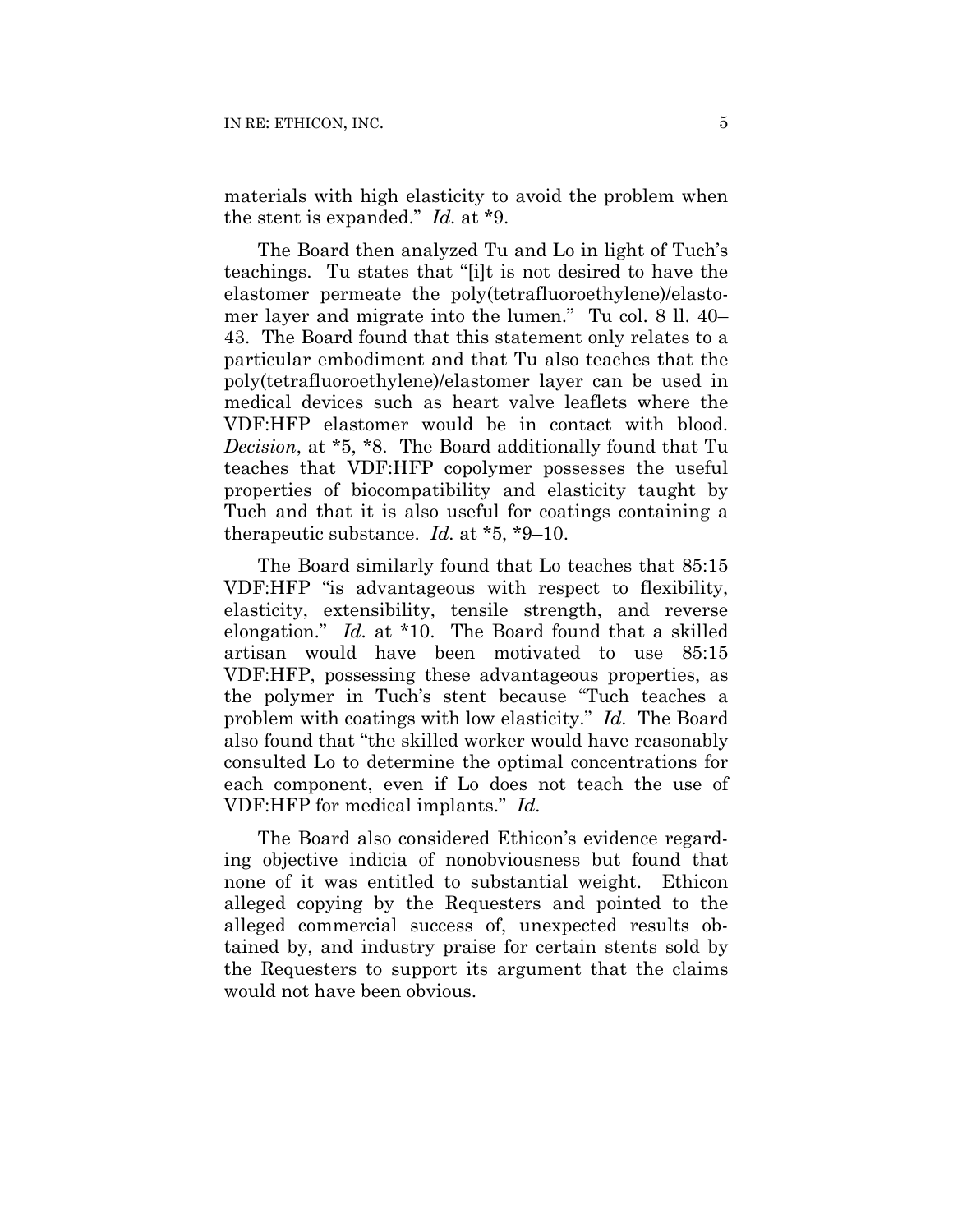materials with high elasticity to avoid the problem when the stent is expanded." *Id.* at \*9.

The Board then analyzed Tu and Lo in light of Tuch's teachings. Tu states that "[i]t is not desired to have the elastomer permeate the poly(tetrafluoroethylene)/elastomer layer and migrate into the lumen." Tu col. 8 ll. 40– 43. The Board found that this statement only relates to a particular embodiment and that Tu also teaches that the poly(tetrafluoroethylene)/elastomer layer can be used in medical devices such as heart valve leaflets where the VDF:HFP elastomer would be in contact with blood. *Decision*, at \*5, \*8. The Board additionally found that Tu teaches that VDF:HFP copolymer possesses the useful properties of biocompatibility and elasticity taught by Tuch and that it is also useful for coatings containing a therapeutic substance. *Id.* at \*5, \*9–10.

The Board similarly found that Lo teaches that 85:15 VDF:HFP "is advantageous with respect to flexibility, elasticity, extensibility, tensile strength, and reverse elongation." *Id.* at \*10. The Board found that a skilled artisan would have been motivated to use 85:15 VDF:HFP, possessing these advantageous properties, as the polymer in Tuch's stent because "Tuch teaches a problem with coatings with low elasticity." *Id.* The Board also found that "the skilled worker would have reasonably consulted Lo to determine the optimal concentrations for each component, even if Lo does not teach the use of VDF:HFP for medical implants." *Id.*

The Board also considered Ethicon's evidence regarding objective indicia of nonobviousness but found that none of it was entitled to substantial weight. Ethicon alleged copying by the Requesters and pointed to the alleged commercial success of, unexpected results obtained by, and industry praise for certain stents sold by the Requesters to support its argument that the claims would not have been obvious.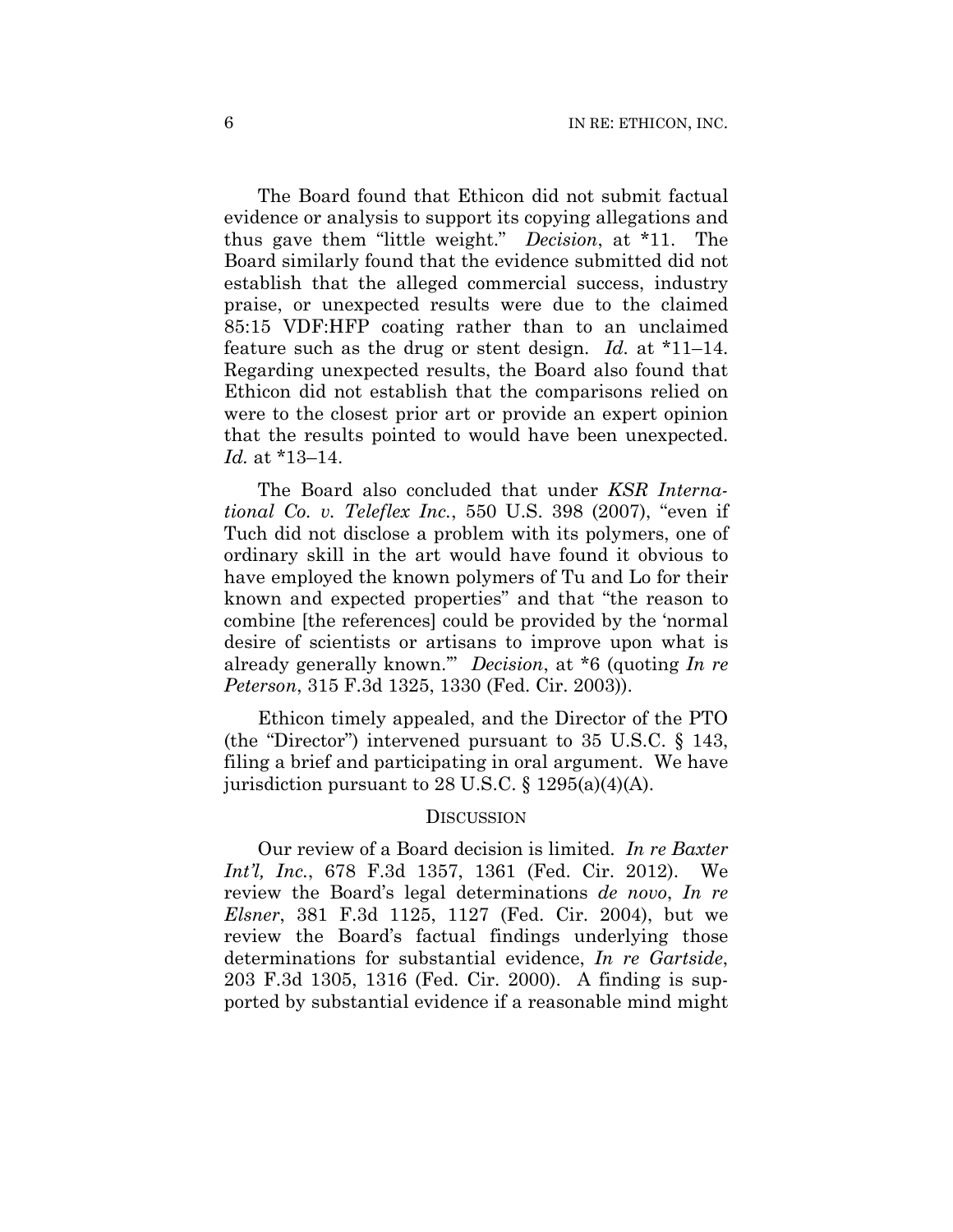The Board found that Ethicon did not submit factual evidence or analysis to support its copying allegations and thus gave them "little weight." *Decision*, at \*11. The Board similarly found that the evidence submitted did not establish that the alleged commercial success, industry praise, or unexpected results were due to the claimed 85:15 VDF:HFP coating rather than to an unclaimed feature such as the drug or stent design. *Id.* at \*11–14. Regarding unexpected results, the Board also found that Ethicon did not establish that the comparisons relied on were to the closest prior art or provide an expert opinion that the results pointed to would have been unexpected. *Id.* at \*13–14.

The Board also concluded that under *KSR International Co. v. Teleflex Inc.*, 550 U.S. 398 (2007), "even if Tuch did not disclose a problem with its polymers, one of ordinary skill in the art would have found it obvious to have employed the known polymers of Tu and Lo for their known and expected properties" and that "the reason to combine [the references] could be provided by the 'normal desire of scientists or artisans to improve upon what is already generally known.'" *Decision*, at \*6 (quoting *In re Peterson*, 315 F.3d 1325, 1330 (Fed. Cir. 2003)).

Ethicon timely appealed, and the Director of the PTO (the "Director") intervened pursuant to 35 U.S.C. § 143, filing a brief and participating in oral argument. We have jurisdiction pursuant to 28 U.S.C.  $\S$  1295(a)(4)(A).

#### **DISCUSSION**

Our review of a Board decision is limited. *In re Baxter Int'l, Inc.*, 678 F.3d 1357, 1361 (Fed. Cir. 2012). We review the Board's legal determinations *de novo*, *In re Elsner*, 381 F.3d 1125, 1127 (Fed. Cir. 2004), but we review the Board's factual findings underlying those determinations for substantial evidence, *In re Gartside*, 203 F.3d 1305, 1316 (Fed. Cir. 2000). A finding is supported by substantial evidence if a reasonable mind might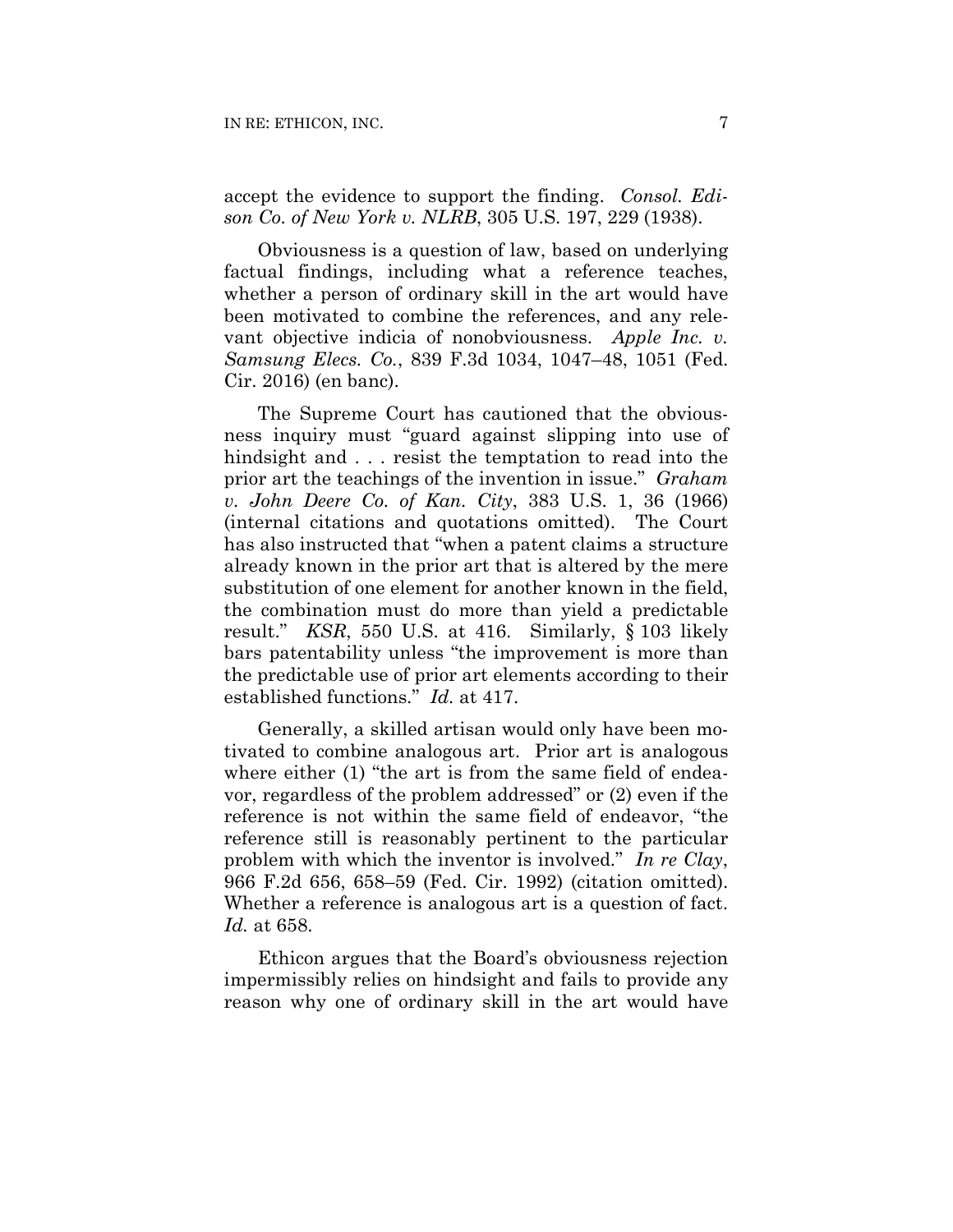accept the evidence to support the finding. *Consol. Edison Co. of New York v. NLRB*, 305 U.S. 197, 229 (1938).

Obviousness is a question of law, based on underlying factual findings, including what a reference teaches, whether a person of ordinary skill in the art would have been motivated to combine the references, and any relevant objective indicia of nonobviousness. *Apple Inc. v. Samsung Elecs. Co.*, 839 F.3d 1034, 1047–48, 1051 (Fed. Cir. 2016) (en banc).

The Supreme Court has cautioned that the obviousness inquiry must "guard against slipping into use of hindsight and . . . resist the temptation to read into the prior art the teachings of the invention in issue." *Graham v. John Deere Co. of Kan. City*, 383 U.S. 1, 36 (1966) (internal citations and quotations omitted). The Court has also instructed that "when a patent claims a structure already known in the prior art that is altered by the mere substitution of one element for another known in the field, the combination must do more than yield a predictable result." *KSR*, 550 U.S. at 416. Similarly, § 103 likely bars patentability unless "the improvement is more than the predictable use of prior art elements according to their established functions." *Id.* at 417.

Generally, a skilled artisan would only have been motivated to combine analogous art. Prior art is analogous where either (1) "the art is from the same field of endeavor, regardless of the problem addressed" or (2) even if the reference is not within the same field of endeavor, "the reference still is reasonably pertinent to the particular problem with which the inventor is involved." *In re Clay*, 966 F.2d 656, 658–59 (Fed. Cir. 1992) (citation omitted). Whether a reference is analogous art is a question of fact. *Id.* at 658.

Ethicon argues that the Board's obviousness rejection impermissibly relies on hindsight and fails to provide any reason why one of ordinary skill in the art would have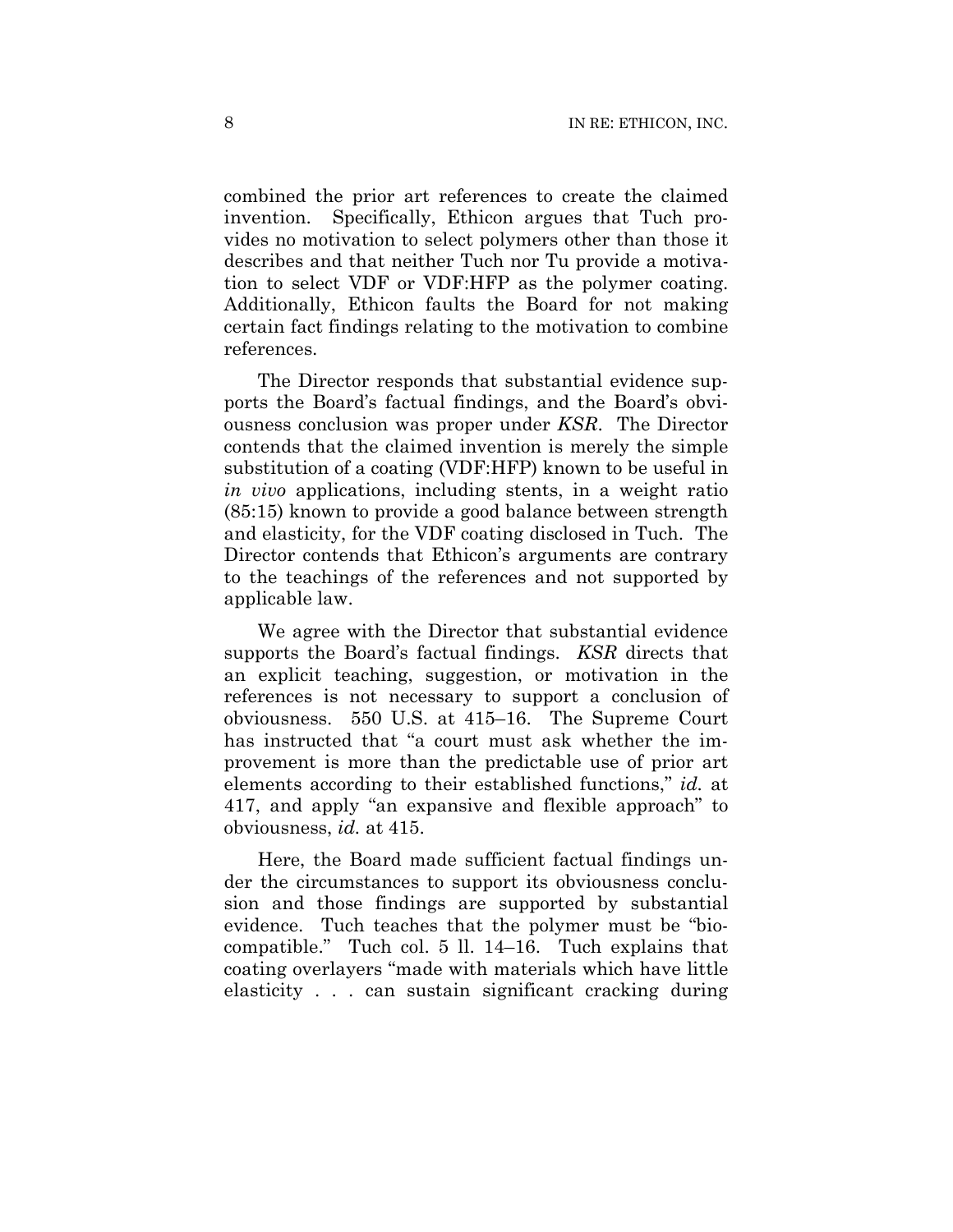combined the prior art references to create the claimed invention. Specifically, Ethicon argues that Tuch provides no motivation to select polymers other than those it describes and that neither Tuch nor Tu provide a motivation to select VDF or VDF:HFP as the polymer coating. Additionally, Ethicon faults the Board for not making certain fact findings relating to the motivation to combine references.

The Director responds that substantial evidence supports the Board's factual findings, and the Board's obviousness conclusion was proper under *KSR*. The Director contends that the claimed invention is merely the simple substitution of a coating (VDF:HFP) known to be useful in *in vivo* applications, including stents, in a weight ratio (85:15) known to provide a good balance between strength and elasticity, for the VDF coating disclosed in Tuch. The Director contends that Ethicon's arguments are contrary to the teachings of the references and not supported by applicable law.

We agree with the Director that substantial evidence supports the Board's factual findings. *KSR* directs that an explicit teaching, suggestion, or motivation in the references is not necessary to support a conclusion of obviousness. 550 U.S. at 415–16. The Supreme Court has instructed that "a court must ask whether the improvement is more than the predictable use of prior art elements according to their established functions," *id.* at 417, and apply "an expansive and flexible approach" to obviousness, *id.* at 415.

Here, the Board made sufficient factual findings under the circumstances to support its obviousness conclusion and those findings are supported by substantial evidence. Tuch teaches that the polymer must be "biocompatible." Tuch col. 5 ll. 14–16. Tuch explains that coating overlayers "made with materials which have little elasticity . . . can sustain significant cracking during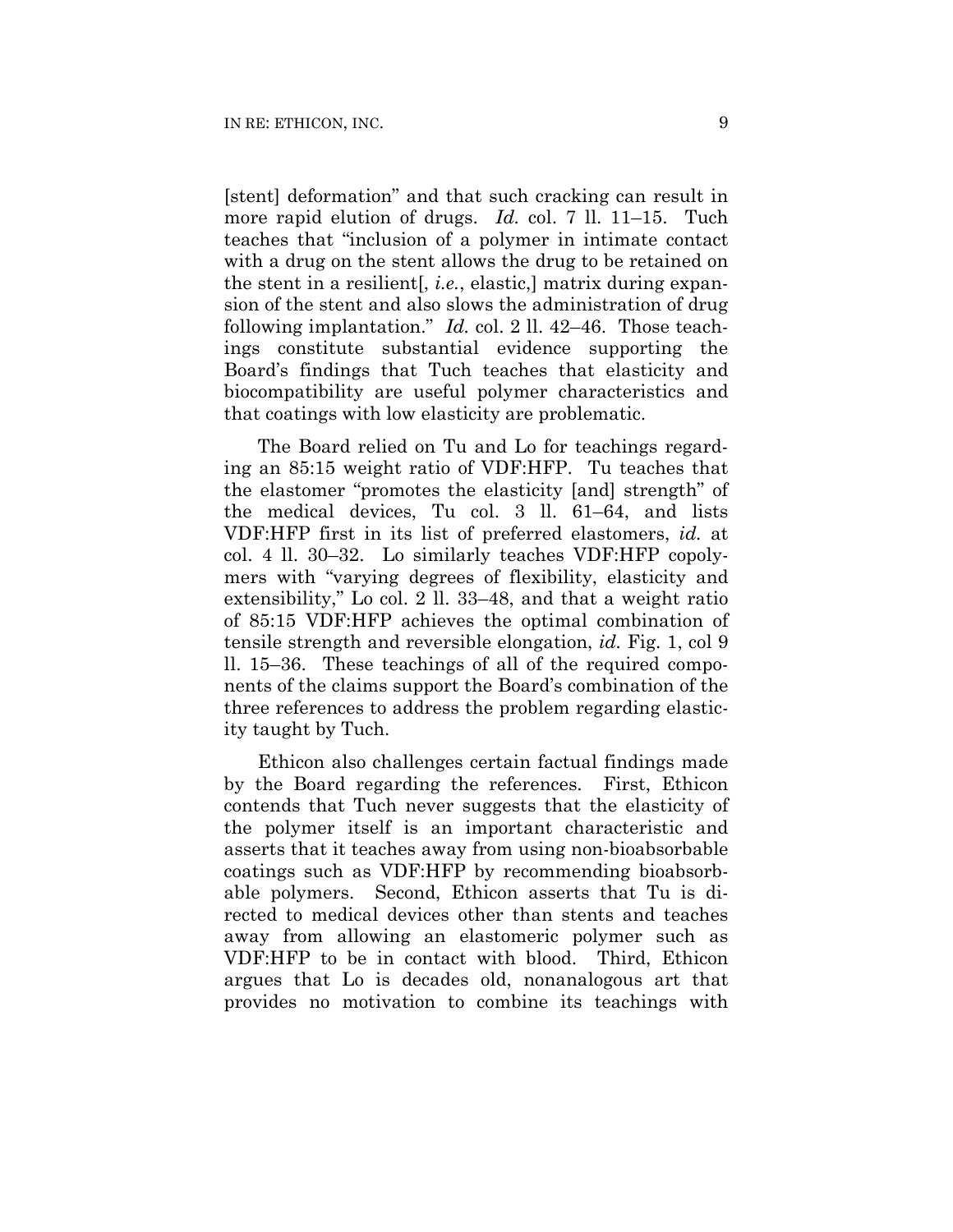[stent] deformation" and that such cracking can result in more rapid elution of drugs. *Id.* col. 7 ll. 11–15. Tuch teaches that "inclusion of a polymer in intimate contact with a drug on the stent allows the drug to be retained on the stent in a resilient[, *i.e.*, elastic,] matrix during expansion of the stent and also slows the administration of drug following implantation." *Id.* col. 2 ll. 42–46. Those teachings constitute substantial evidence supporting the Board's findings that Tuch teaches that elasticity and biocompatibility are useful polymer characteristics and that coatings with low elasticity are problematic.

The Board relied on Tu and Lo for teachings regarding an 85:15 weight ratio of VDF:HFP. Tu teaches that the elastomer "promotes the elasticity [and] strength" of the medical devices, Tu col. 3 ll. 61–64, and lists VDF:HFP first in its list of preferred elastomers, *id.* at col. 4 ll. 30–32. Lo similarly teaches VDF:HFP copolymers with "varying degrees of flexibility, elasticity and extensibility," Lo col. 2 ll. 33–48, and that a weight ratio of 85:15 VDF:HFP achieves the optimal combination of tensile strength and reversible elongation, *id.* Fig. 1, col 9 ll. 15–36. These teachings of all of the required components of the claims support the Board's combination of the three references to address the problem regarding elasticity taught by Tuch.

Ethicon also challenges certain factual findings made by the Board regarding the references. First, Ethicon contends that Tuch never suggests that the elasticity of the polymer itself is an important characteristic and asserts that it teaches away from using non-bioabsorbable coatings such as VDF:HFP by recommending bioabsorbable polymers. Second, Ethicon asserts that Tu is directed to medical devices other than stents and teaches away from allowing an elastomeric polymer such as VDF:HFP to be in contact with blood. Third, Ethicon argues that Lo is decades old, nonanalogous art that provides no motivation to combine its teachings with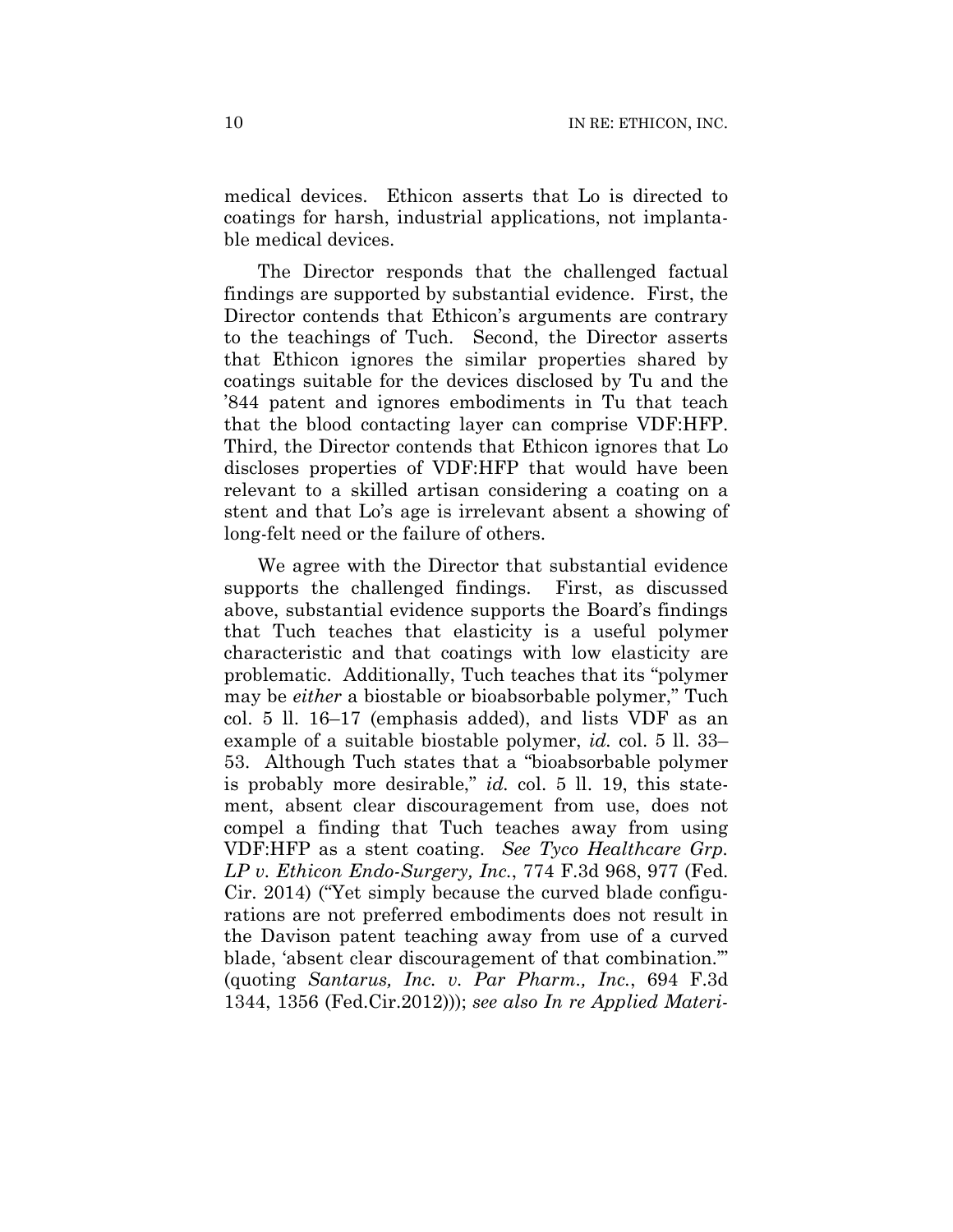medical devices. Ethicon asserts that Lo is directed to coatings for harsh, industrial applications, not implantable medical devices.

The Director responds that the challenged factual findings are supported by substantial evidence. First, the Director contends that Ethicon's arguments are contrary to the teachings of Tuch. Second, the Director asserts that Ethicon ignores the similar properties shared by coatings suitable for the devices disclosed by Tu and the '844 patent and ignores embodiments in Tu that teach that the blood contacting layer can comprise VDF:HFP. Third, the Director contends that Ethicon ignores that Lo discloses properties of VDF:HFP that would have been relevant to a skilled artisan considering a coating on a stent and that Lo's age is irrelevant absent a showing of long-felt need or the failure of others.

We agree with the Director that substantial evidence supports the challenged findings. First, as discussed above, substantial evidence supports the Board's findings that Tuch teaches that elasticity is a useful polymer characteristic and that coatings with low elasticity are problematic. Additionally, Tuch teaches that its "polymer may be *either* a biostable or bioabsorbable polymer," Tuch col. 5 ll. 16–17 (emphasis added), and lists VDF as an example of a suitable biostable polymer, *id.* col. 5 ll. 33– 53. Although Tuch states that a "bioabsorbable polymer is probably more desirable," *id.* col. 5 ll. 19, this statement, absent clear discouragement from use, does not compel a finding that Tuch teaches away from using VDF:HFP as a stent coating. *See Tyco Healthcare Grp. LP v. Ethicon Endo-Surgery, Inc.*, 774 F.3d 968, 977 (Fed. Cir. 2014) ("Yet simply because the curved blade configurations are not preferred embodiments does not result in the Davison patent teaching away from use of a curved blade, 'absent clear discouragement of that combination.'" (quoting *Santarus, Inc. v. Par Pharm., Inc.*, 694 F.3d 1344, 1356 (Fed.Cir.2012))); *see also In re Applied Materi-*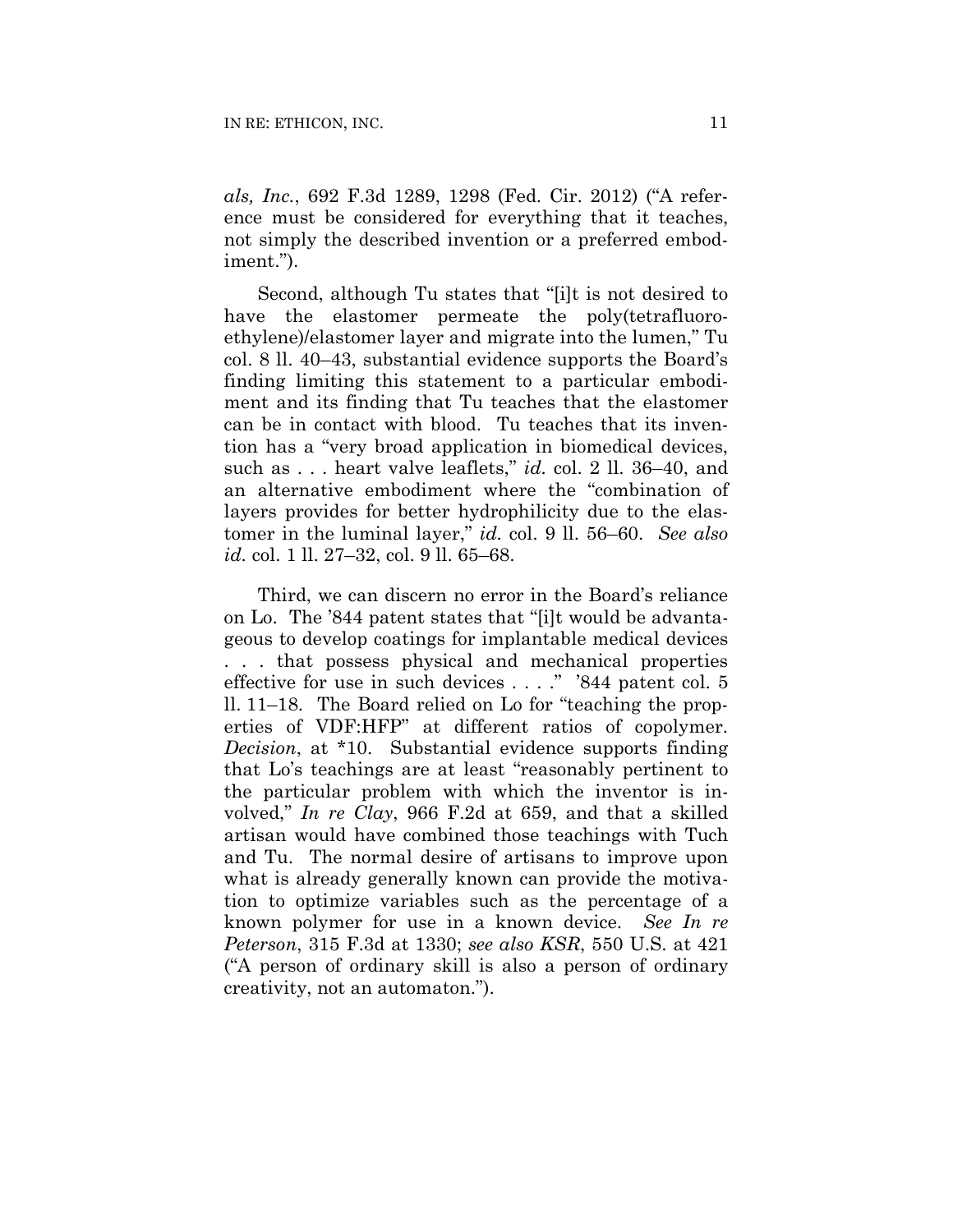*als, Inc.*, 692 F.3d 1289, 1298 (Fed. Cir. 2012) ("A reference must be considered for everything that it teaches, not simply the described invention or a preferred embodiment.").

Second, although Tu states that "[i]t is not desired to have the elastomer permeate the poly(tetrafluoroethylene)/elastomer layer and migrate into the lumen," Tu col. 8 ll. 40–43, substantial evidence supports the Board's finding limiting this statement to a particular embodiment and its finding that Tu teaches that the elastomer can be in contact with blood. Tu teaches that its invention has a "very broad application in biomedical devices, such as . . . heart valve leaflets," *id.* col. 2 ll. 36–40, and an alternative embodiment where the "combination of layers provides for better hydrophilicity due to the elastomer in the luminal layer," *id.* col. 9 ll. 56–60. *See also id.* col. 1 ll. 27–32, col. 9 ll. 65–68.

Third, we can discern no error in the Board's reliance on Lo. The '844 patent states that "[i]t would be advantageous to develop coatings for implantable medical devices . . . that possess physical and mechanical properties effective for use in such devices . . . ." '844 patent col. 5 ll. 11–18. The Board relied on Lo for "teaching the properties of VDF:HFP" at different ratios of copolymer. *Decision*, at \*10. Substantial evidence supports finding that Lo's teachings are at least "reasonably pertinent to the particular problem with which the inventor is involved," *In re Clay*, 966 F.2d at 659, and that a skilled artisan would have combined those teachings with Tuch and Tu. The normal desire of artisans to improve upon what is already generally known can provide the motivation to optimize variables such as the percentage of a known polymer for use in a known device. *See In re Peterson*, 315 F.3d at 1330; *see also KSR*, 550 U.S. at 421 ("A person of ordinary skill is also a person of ordinary creativity, not an automaton.").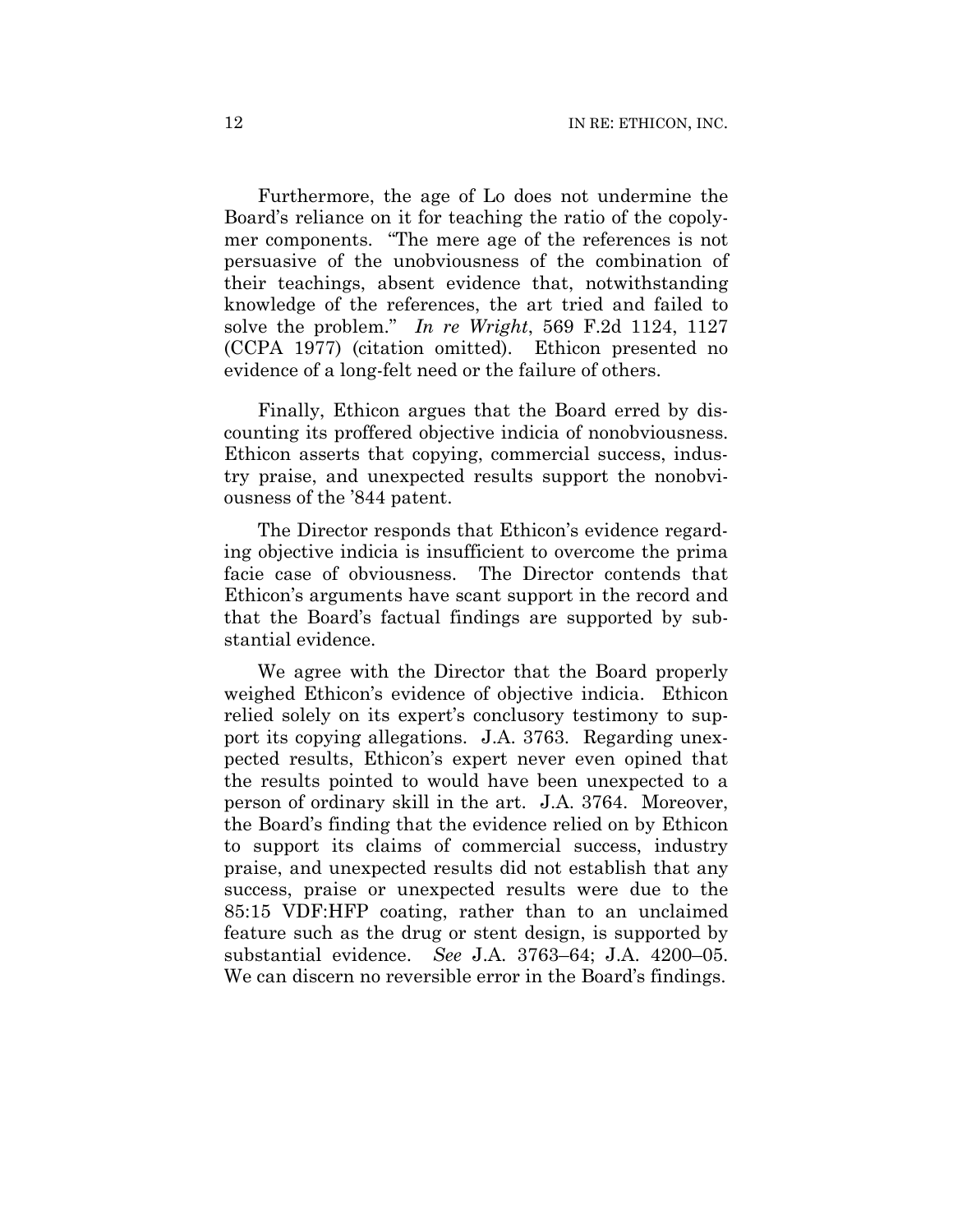Furthermore, the age of Lo does not undermine the Board's reliance on it for teaching the ratio of the copolymer components. "The mere age of the references is not persuasive of the unobviousness of the combination of their teachings, absent evidence that, notwithstanding knowledge of the references, the art tried and failed to solve the problem." *In re Wright*, 569 F.2d 1124, 1127 (CCPA 1977) (citation omitted). Ethicon presented no evidence of a long-felt need or the failure of others.

Finally, Ethicon argues that the Board erred by discounting its proffered objective indicia of nonobviousness. Ethicon asserts that copying, commercial success, industry praise, and unexpected results support the nonobviousness of the '844 patent.

The Director responds that Ethicon's evidence regarding objective indicia is insufficient to overcome the prima facie case of obviousness. The Director contends that Ethicon's arguments have scant support in the record and that the Board's factual findings are supported by substantial evidence.

We agree with the Director that the Board properly weighed Ethicon's evidence of objective indicia. Ethicon relied solely on its expert's conclusory testimony to support its copying allegations. J.A. 3763. Regarding unexpected results, Ethicon's expert never even opined that the results pointed to would have been unexpected to a person of ordinary skill in the art. J.A. 3764. Moreover, the Board's finding that the evidence relied on by Ethicon to support its claims of commercial success, industry praise, and unexpected results did not establish that any success, praise or unexpected results were due to the 85:15 VDF:HFP coating, rather than to an unclaimed feature such as the drug or stent design, is supported by substantial evidence. *See* J.A. 3763–64; J.A. 4200–05. We can discern no reversible error in the Board's findings.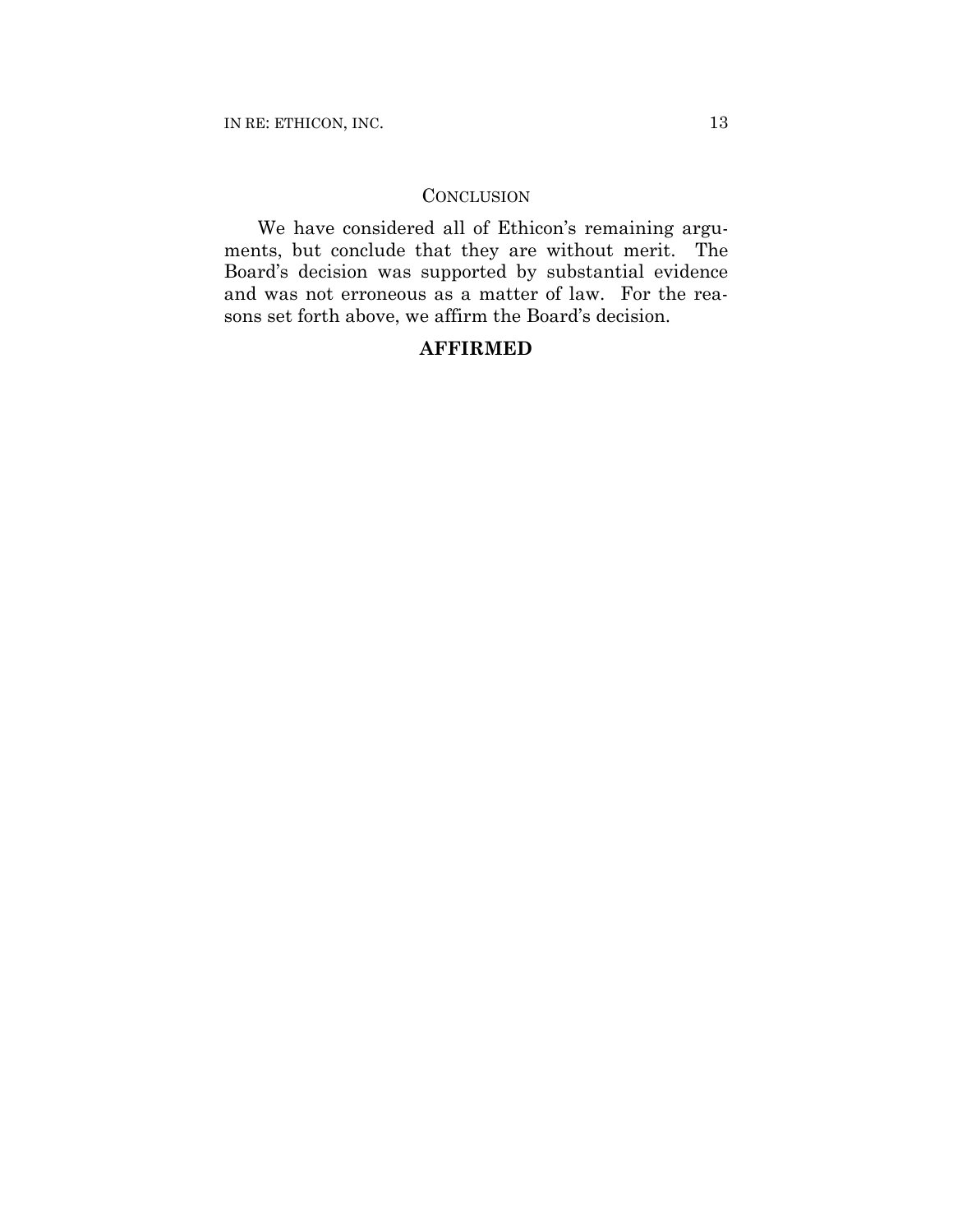# **CONCLUSION**

We have considered all of Ethicon's remaining arguments, but conclude that they are without merit. The Board's decision was supported by substantial evidence and was not erroneous as a matter of law. For the reasons set forth above, we affirm the Board's decision.

# **AFFIRMED**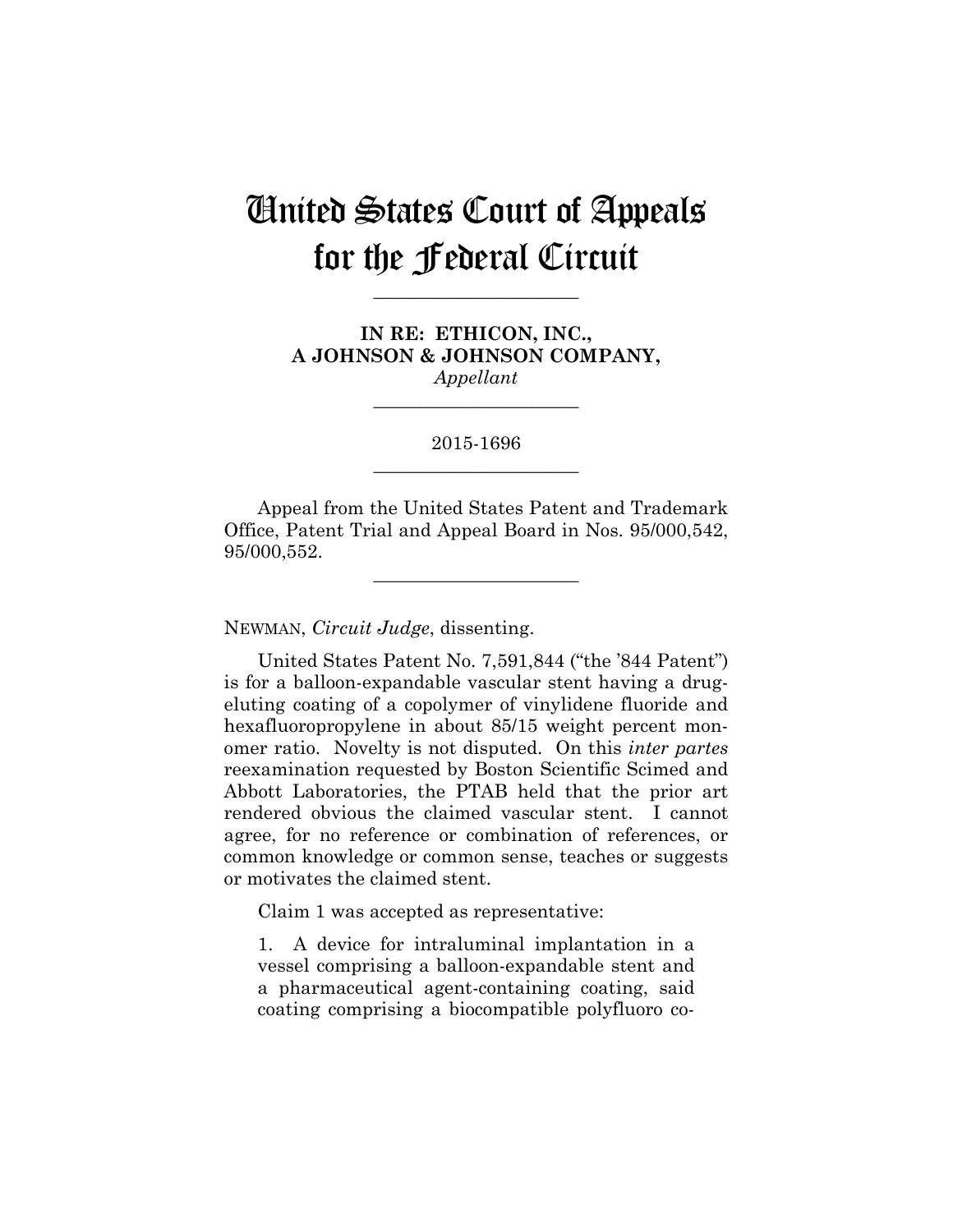# United States Court of Appeals for the Federal Circuit

**\_\_\_\_\_\_\_\_\_\_\_\_\_\_\_\_\_\_\_\_\_\_** 

**IN RE: ETHICON, INC., A JOHNSON & JOHNSON COMPANY,** *Appellant*

> 2015-1696 **\_\_\_\_\_\_\_\_\_\_\_\_\_\_\_\_\_\_\_\_\_\_**

> **\_\_\_\_\_\_\_\_\_\_\_\_\_\_\_\_\_\_\_\_\_\_**

Appeal from the United States Patent and Trademark Office, Patent Trial and Appeal Board in Nos. 95/000,542, 95/000,552.

**\_\_\_\_\_\_\_\_\_\_\_\_\_\_\_\_\_\_\_\_\_\_** 

NEWMAN, *Circuit Judge*, dissenting.

United States Patent No. 7,591,844 ("the '844 Patent") is for a balloon-expandable vascular stent having a drugeluting coating of a copolymer of vinylidene fluoride and hexafluoropropylene in about 85/15 weight percent monomer ratio. Novelty is not disputed. On this *inter partes* reexamination requested by Boston Scientific Scimed and Abbott Laboratories, the PTAB held that the prior art rendered obvious the claimed vascular stent. I cannot agree, for no reference or combination of references, or common knowledge or common sense, teaches or suggests or motivates the claimed stent.

Claim 1 was accepted as representative:

1. A device for intraluminal implantation in a vessel comprising a balloon-expandable stent and a pharmaceutical agent-containing coating, said coating comprising a biocompatible polyfluoro co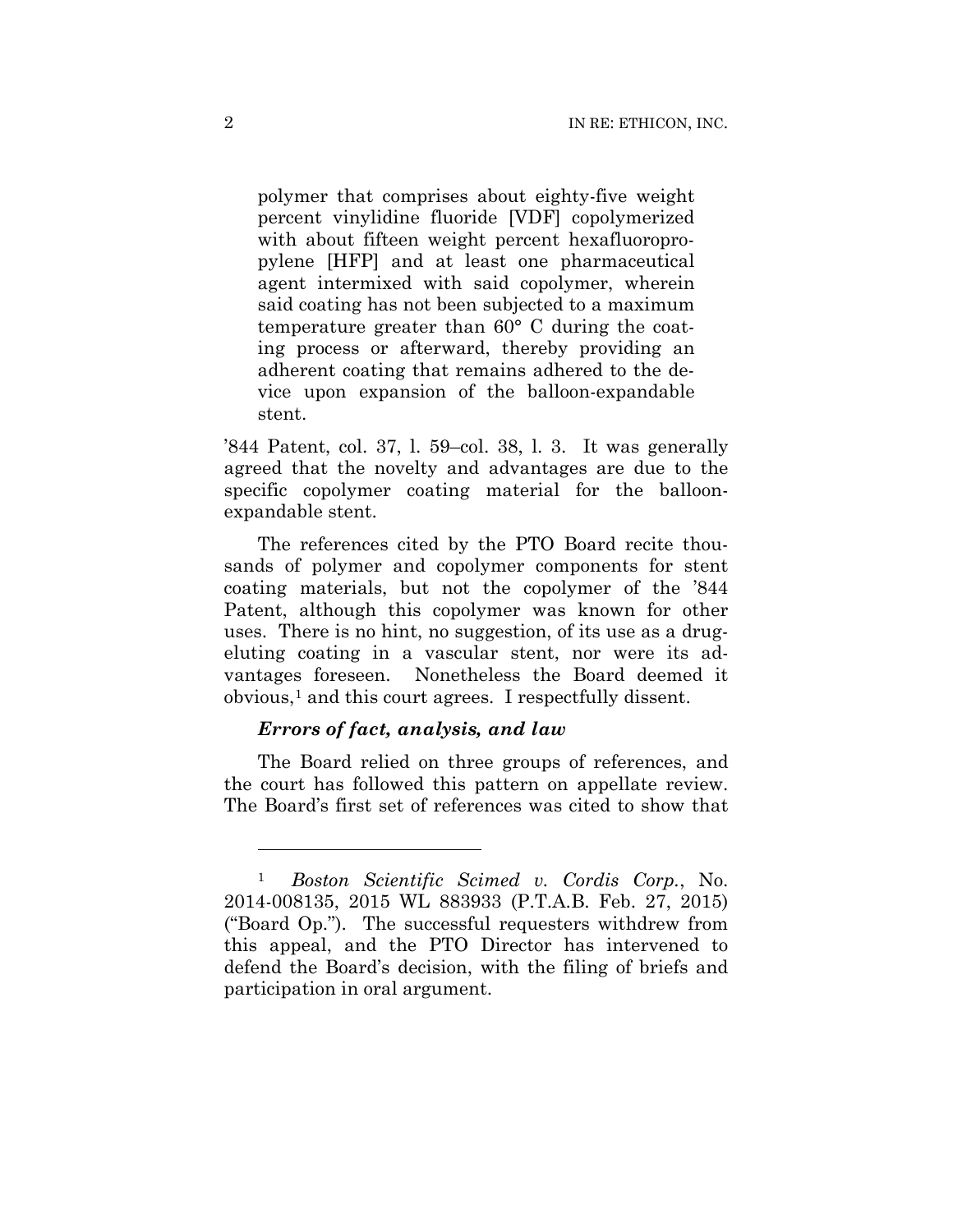polymer that comprises about eighty-five weight percent vinylidine fluoride [VDF] copolymerized with about fifteen weight percent hexafluoropropylene [HFP] and at least one pharmaceutical agent intermixed with said copolymer, wherein said coating has not been subjected to a maximum temperature greater than 60° C during the coating process or afterward, thereby providing an adherent coating that remains adhered to the device upon expansion of the balloon-expandable stent.

'844 Patent, col. 37, l. 59–col. 38, l. 3. It was generally agreed that the novelty and advantages are due to the specific copolymer coating material for the balloonexpandable stent.

The references cited by the PTO Board recite thousands of polymer and copolymer components for stent coating materials, but not the copolymer of the '844 Patent, although this copolymer was known for other uses. There is no hint, no suggestion, of its use as a drugeluting coating in a vascular stent, nor were its advantages foreseen. Nonetheless the Board deemed it obvious,1 and this court agrees. I respectfully dissent.

# *Errors of fact, analysis, and law*

The Board relied on three groups of references, and the court has followed this pattern on appellate review. The Board's first set of references was cited to show that

1

<sup>1</sup> *Boston Scientific Scimed v. Cordis Corp.*, No. 2014-008135, 2015 WL 883933 (P.T.A.B. Feb. 27, 2015) ("Board Op."). The successful requesters withdrew from this appeal, and the PTO Director has intervened to defend the Board's decision, with the filing of briefs and participation in oral argument.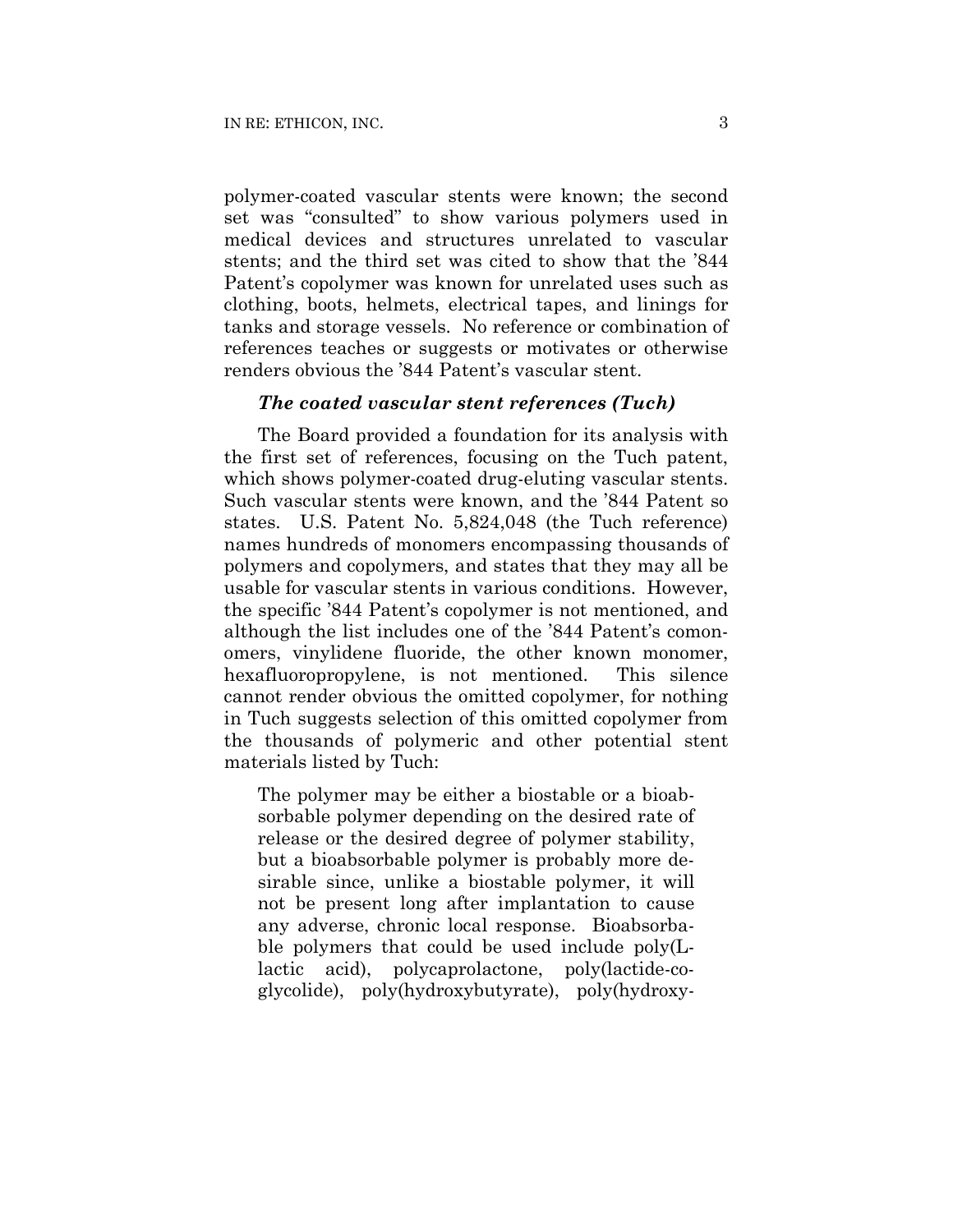polymer-coated vascular stents were known; the second set was "consulted" to show various polymers used in medical devices and structures unrelated to vascular stents; and the third set was cited to show that the '844 Patent's copolymer was known for unrelated uses such as clothing, boots, helmets, electrical tapes, and linings for tanks and storage vessels. No reference or combination of references teaches or suggests or motivates or otherwise renders obvious the '844 Patent's vascular stent.

# *The coated vascular stent references (Tuch)*

The Board provided a foundation for its analysis with the first set of references, focusing on the Tuch patent, which shows polymer-coated drug-eluting vascular stents. Such vascular stents were known, and the '844 Patent so states. U.S. Patent No. 5,824,048 (the Tuch reference) names hundreds of monomers encompassing thousands of polymers and copolymers, and states that they may all be usable for vascular stents in various conditions. However, the specific '844 Patent's copolymer is not mentioned, and although the list includes one of the '844 Patent's comonomers, vinylidene fluoride, the other known monomer, hexafluoropropylene, is not mentioned. This silence cannot render obvious the omitted copolymer, for nothing in Tuch suggests selection of this omitted copolymer from the thousands of polymeric and other potential stent materials listed by Tuch:

The polymer may be either a biostable or a bioabsorbable polymer depending on the desired rate of release or the desired degree of polymer stability, but a bioabsorbable polymer is probably more desirable since, unlike a biostable polymer, it will not be present long after implantation to cause any adverse, chronic local response. Bioabsorbable polymers that could be used include poly(Llactic acid), polycaprolactone, poly(lactide-coglycolide), poly(hydroxybutyrate), poly(hydroxy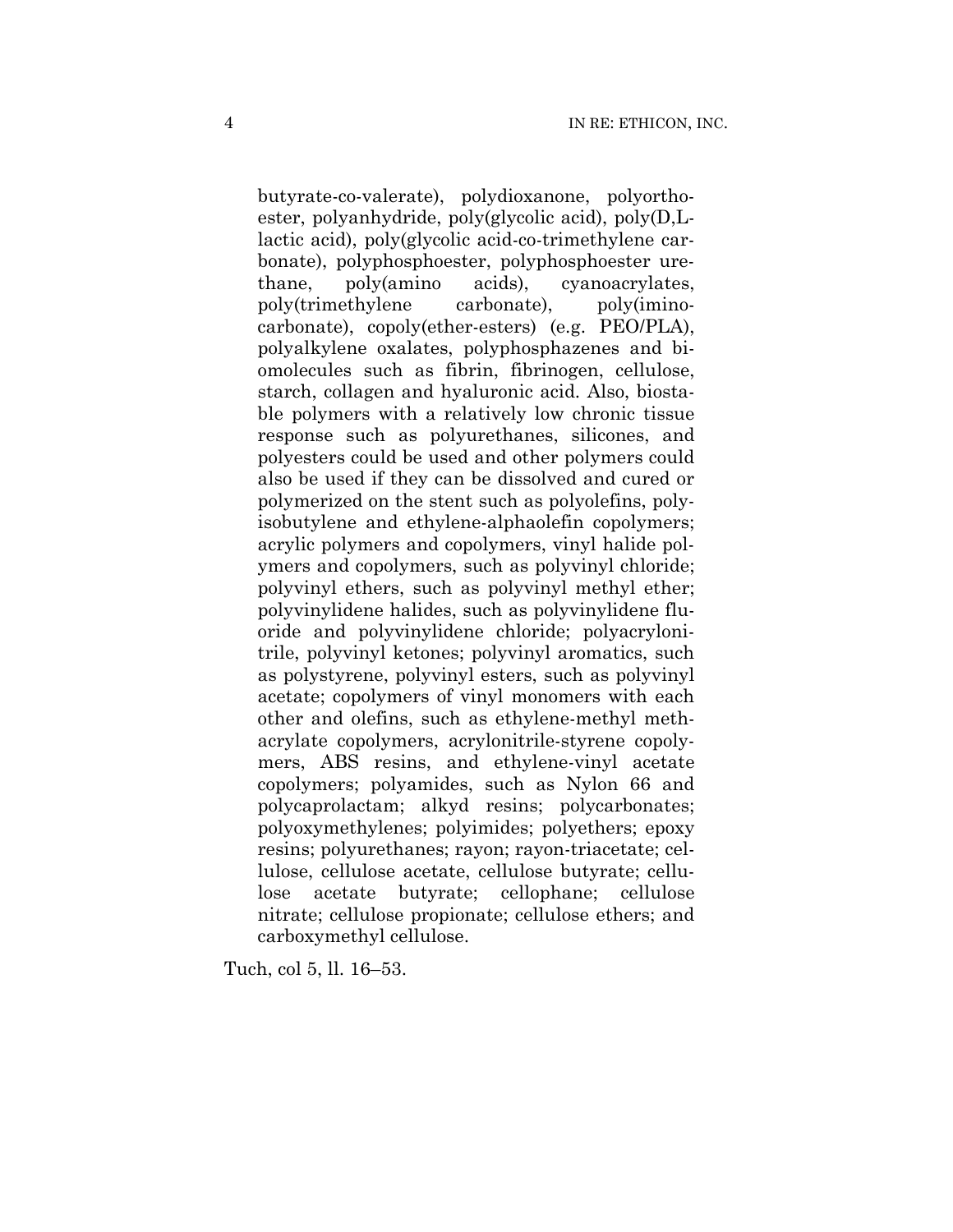butyrate-co-valerate), polydioxanone, polyorthoester, polyanhydride, poly(glycolic acid), poly(D,Llactic acid), poly(glycolic acid-co-trimethylene carbonate), polyphosphoester, polyphosphoester urethane, poly(amino acids), cyanoacrylates, poly(trimethylene carbonate), poly(iminocarbonate), copoly(ether-esters) (e.g. PEO/PLA), polyalkylene oxalates, polyphosphazenes and biomolecules such as fibrin, fibrinogen, cellulose, starch, collagen and hyaluronic acid. Also, biostable polymers with a relatively low chronic tissue response such as polyurethanes, silicones, and polyesters could be used and other polymers could also be used if they can be dissolved and cured or polymerized on the stent such as polyolefins, polyisobutylene and ethylene-alphaolefin copolymers; acrylic polymers and copolymers, vinyl halide polymers and copolymers, such as polyvinyl chloride; polyvinyl ethers, such as polyvinyl methyl ether; polyvinylidene halides, such as polyvinylidene fluoride and polyvinylidene chloride; polyacrylonitrile, polyvinyl ketones; polyvinyl aromatics, such as polystyrene, polyvinyl esters, such as polyvinyl acetate; copolymers of vinyl monomers with each other and olefins, such as ethylene-methyl methacrylate copolymers, acrylonitrile-styrene copolymers, ABS resins, and ethylene-vinyl acetate copolymers; polyamides, such as Nylon 66 and polycaprolactam; alkyd resins; polycarbonates; polyoxymethylenes; polyimides; polyethers; epoxy resins; polyurethanes; rayon; rayon-triacetate; cellulose, cellulose acetate, cellulose butyrate; cellulose acetate butyrate; cellophane; cellulose nitrate; cellulose propionate; cellulose ethers; and carboxymethyl cellulose.

Tuch, col 5, ll. 16–53.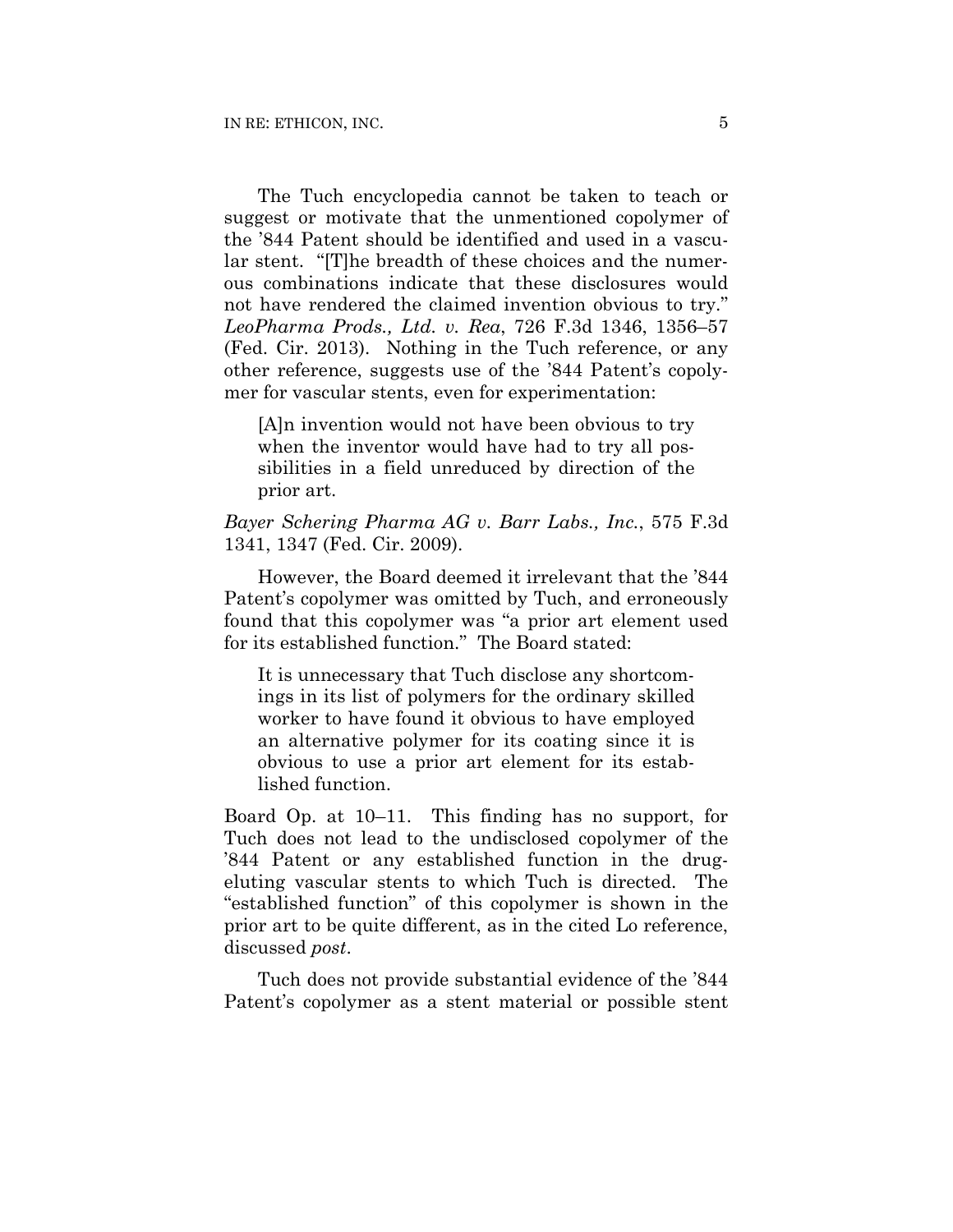The Tuch encyclopedia cannot be taken to teach or suggest or motivate that the unmentioned copolymer of the '844 Patent should be identified and used in a vascular stent. "[T]he breadth of these choices and the numerous combinations indicate that these disclosures would not have rendered the claimed invention obvious to try." *LeoPharma Prods., Ltd. v. Rea*, 726 F.3d 1346, 1356–57 (Fed. Cir. 2013). Nothing in the Tuch reference, or any other reference, suggests use of the '844 Patent's copolymer for vascular stents, even for experimentation:

[A]n invention would not have been obvious to try when the inventor would have had to try all possibilities in a field unreduced by direction of the prior art.

*Bayer Schering Pharma AG v. Barr Labs., Inc.*, 575 F.3d 1341, 1347 (Fed. Cir. 2009).

However, the Board deemed it irrelevant that the '844 Patent's copolymer was omitted by Tuch, and erroneously found that this copolymer was "a prior art element used for its established function." The Board stated:

It is unnecessary that Tuch disclose any shortcomings in its list of polymers for the ordinary skilled worker to have found it obvious to have employed an alternative polymer for its coating since it is obvious to use a prior art element for its established function.

Board Op. at 10–11. This finding has no support, for Tuch does not lead to the undisclosed copolymer of the '844 Patent or any established function in the drugeluting vascular stents to which Tuch is directed. The "established function" of this copolymer is shown in the prior art to be quite different, as in the cited Lo reference, discussed *post*.

Tuch does not provide substantial evidence of the '844 Patent's copolymer as a stent material or possible stent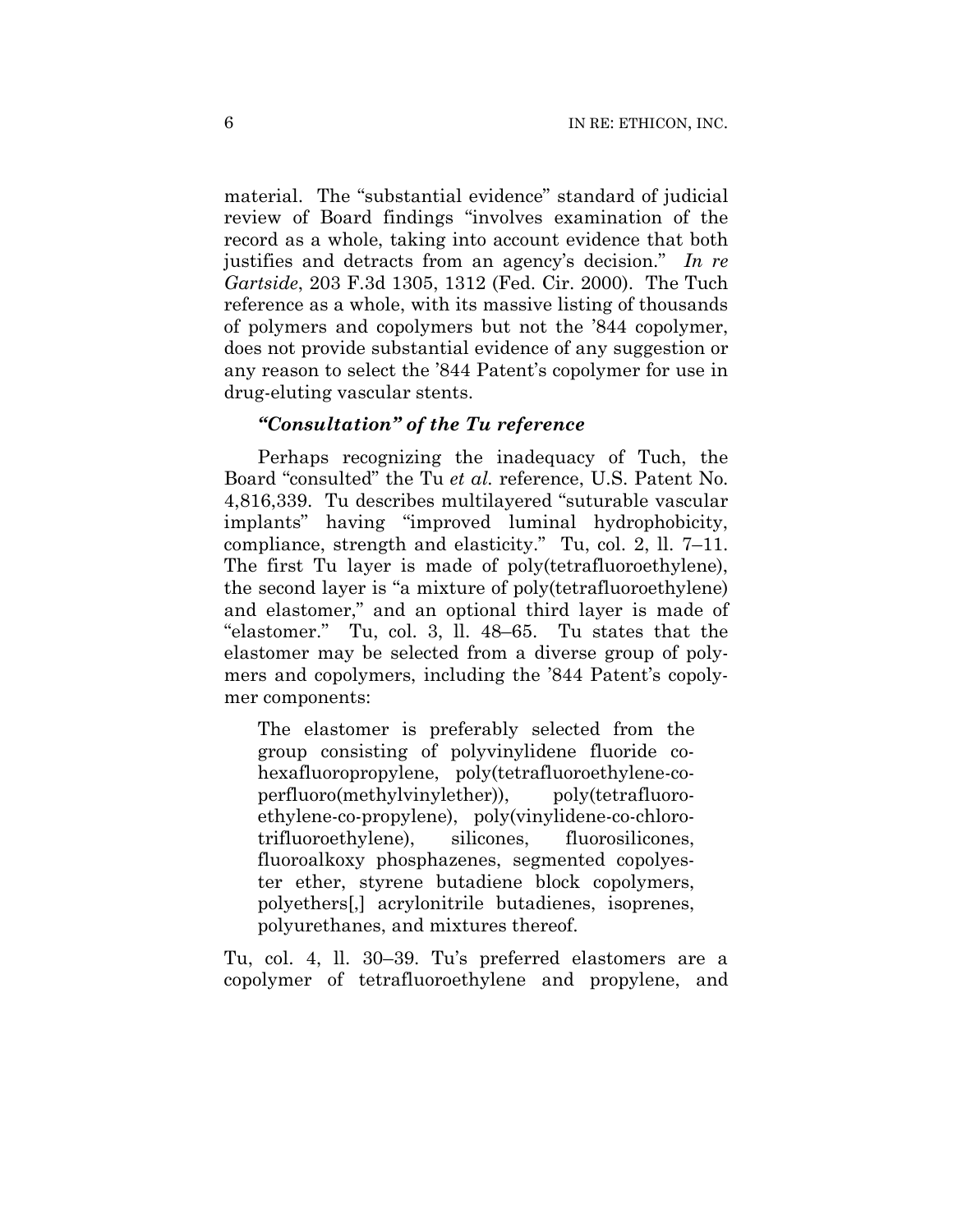material. The "substantial evidence" standard of judicial review of Board findings "involves examination of the record as a whole, taking into account evidence that both justifies and detracts from an agency's decision." *In re Gartside*, 203 F.3d 1305, 1312 (Fed. Cir. 2000). The Tuch reference as a whole, with its massive listing of thousands of polymers and copolymers but not the '844 copolymer, does not provide substantial evidence of any suggestion or any reason to select the '844 Patent's copolymer for use in drug-eluting vascular stents.

# *"Consultation" of the Tu reference*

Perhaps recognizing the inadequacy of Tuch, the Board "consulted" the Tu *et al.* reference, U.S. Patent No. 4,816,339. Tu describes multilayered "suturable vascular implants" having "improved luminal hydrophobicity, compliance, strength and elasticity." Tu, col. 2, ll. 7–11. The first Tu layer is made of poly(tetrafluoroethylene), the second layer is "a mixture of poly(tetrafluoroethylene) and elastomer," and an optional third layer is made of "elastomer." Tu, col. 3, ll. 48–65. Tu states that the elastomer may be selected from a diverse group of polymers and copolymers, including the '844 Patent's copolymer components:

The elastomer is preferably selected from the group consisting of polyvinylidene fluoride cohexafluoropropylene, poly(tetrafluoroethylene-coperfluoro(methylvinylether)), poly(tetrafluoroethylene-co-propylene), poly(vinylidene-co-chlorotrifluoroethylene), silicones, fluorosilicones, fluoroalkoxy phosphazenes, segmented copolyester ether, styrene butadiene block copolymers, polyethers[,] acrylonitrile butadienes, isoprenes, polyurethanes, and mixtures thereof.

Tu, col. 4, ll. 30–39. Tu's preferred elastomers are a copolymer of tetrafluoroethylene and propylene, and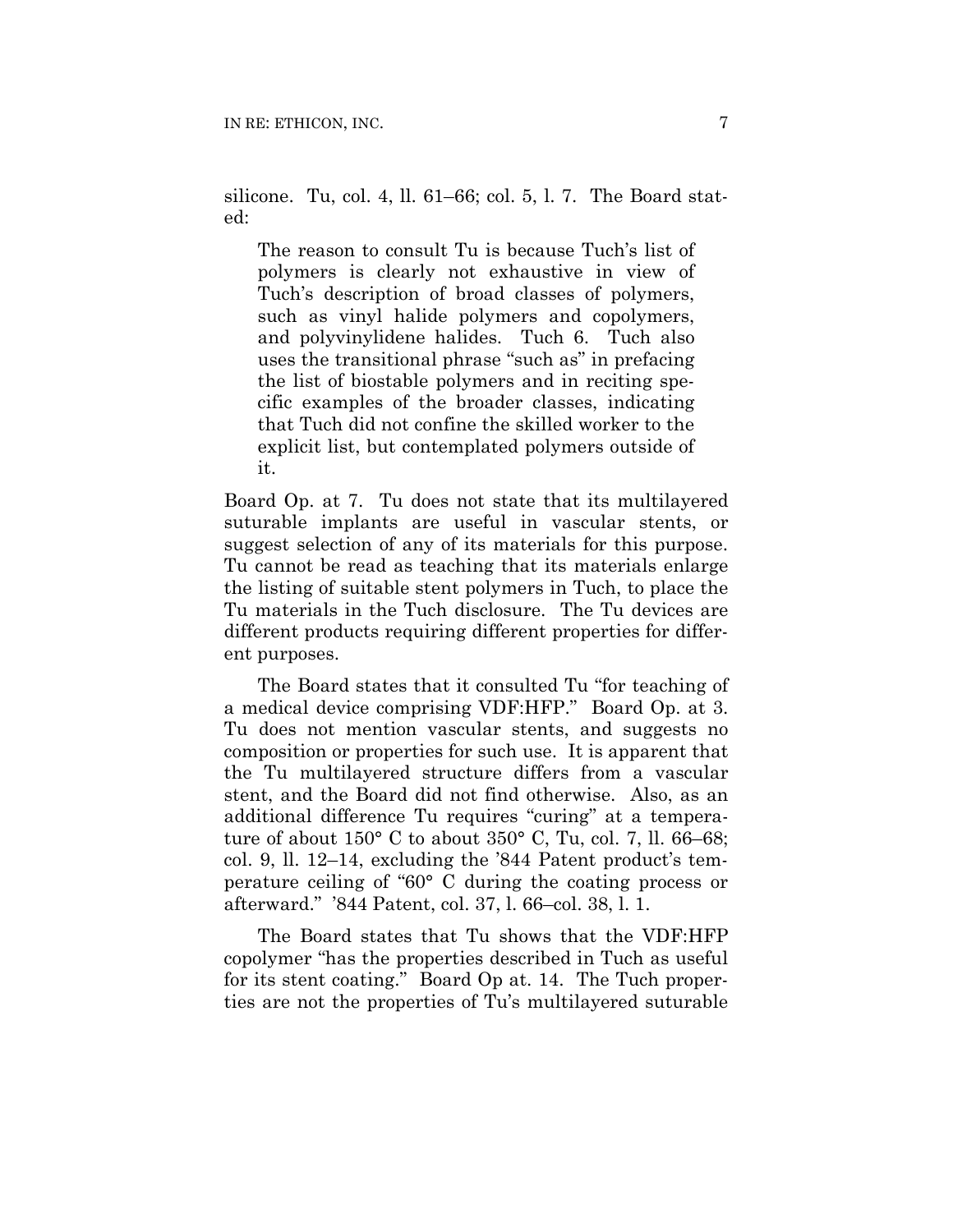silicone. Tu, col. 4, ll. 61–66; col. 5, l. 7. The Board stated:

The reason to consult Tu is because Tuch's list of polymers is clearly not exhaustive in view of Tuch's description of broad classes of polymers, such as vinyl halide polymers and copolymers, and polyvinylidene halides. Tuch 6. Tuch also uses the transitional phrase "such as" in prefacing the list of biostable polymers and in reciting specific examples of the broader classes, indicating that Tuch did not confine the skilled worker to the explicit list, but contemplated polymers outside of it.

Board Op. at 7. Tu does not state that its multilayered suturable implants are useful in vascular stents, or suggest selection of any of its materials for this purpose. Tu cannot be read as teaching that its materials enlarge the listing of suitable stent polymers in Tuch, to place the Tu materials in the Tuch disclosure. The Tu devices are different products requiring different properties for different purposes.

The Board states that it consulted Tu "for teaching of a medical device comprising VDF:HFP." Board Op. at 3. Tu does not mention vascular stents, and suggests no composition or properties for such use. It is apparent that the Tu multilayered structure differs from a vascular stent, and the Board did not find otherwise. Also, as an additional difference Tu requires "curing" at a temperature of about  $150^{\circ}$  C to about  $350^{\circ}$  C, Tu, col. 7, ll. 66–68; col. 9, ll. 12–14, excluding the '844 Patent product's temperature ceiling of "60° C during the coating process or afterward." '844 Patent, col. 37, l. 66–col. 38, l. 1.

The Board states that Tu shows that the VDF:HFP copolymer "has the properties described in Tuch as useful for its stent coating." Board Op at. 14. The Tuch properties are not the properties of Tu's multilayered suturable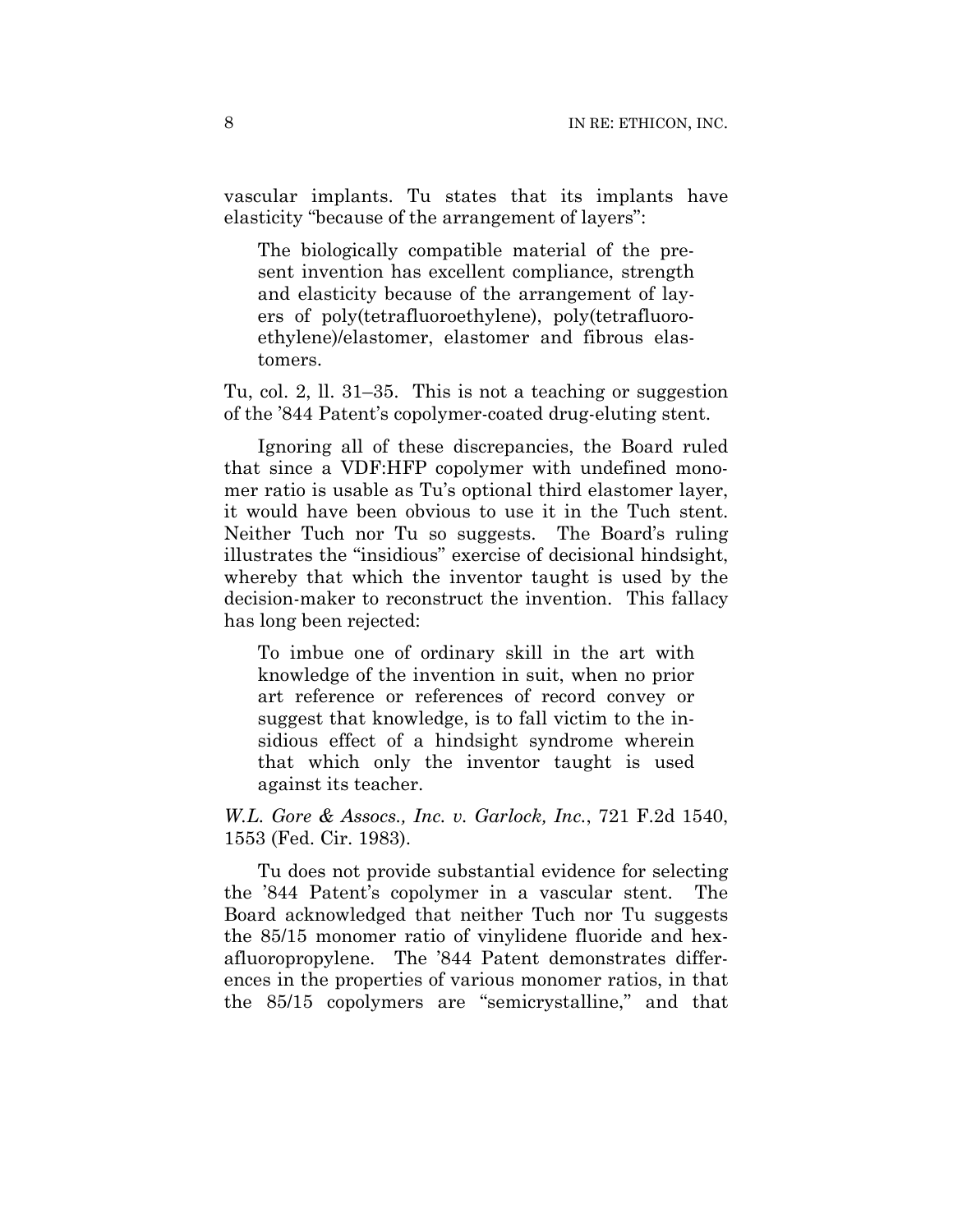vascular implants. Tu states that its implants have elasticity "because of the arrangement of layers":

The biologically compatible material of the present invention has excellent compliance, strength and elasticity because of the arrangement of layers of poly(tetrafluoroethylene), poly(tetrafluoroethylene)/elastomer, elastomer and fibrous elastomers.

Tu, col. 2, ll. 31–35. This is not a teaching or suggestion of the '844 Patent's copolymer-coated drug-eluting stent.

Ignoring all of these discrepancies, the Board ruled that since a VDF:HFP copolymer with undefined monomer ratio is usable as Tu's optional third elastomer layer, it would have been obvious to use it in the Tuch stent. Neither Tuch nor Tu so suggests. The Board's ruling illustrates the "insidious" exercise of decisional hindsight, whereby that which the inventor taught is used by the decision-maker to reconstruct the invention. This fallacy has long been rejected:

To imbue one of ordinary skill in the art with knowledge of the invention in suit, when no prior art reference or references of record convey or suggest that knowledge, is to fall victim to the insidious effect of a hindsight syndrome wherein that which only the inventor taught is used against its teacher.

*W.L. Gore & Assocs., Inc. v. Garlock, Inc.*, 721 F.2d 1540, 1553 (Fed. Cir. 1983).

Tu does not provide substantial evidence for selecting the '844 Patent's copolymer in a vascular stent. The Board acknowledged that neither Tuch nor Tu suggests the 85/15 monomer ratio of vinylidene fluoride and hexafluoropropylene. The '844 Patent demonstrates differences in the properties of various monomer ratios, in that the 85/15 copolymers are "semicrystalline," and that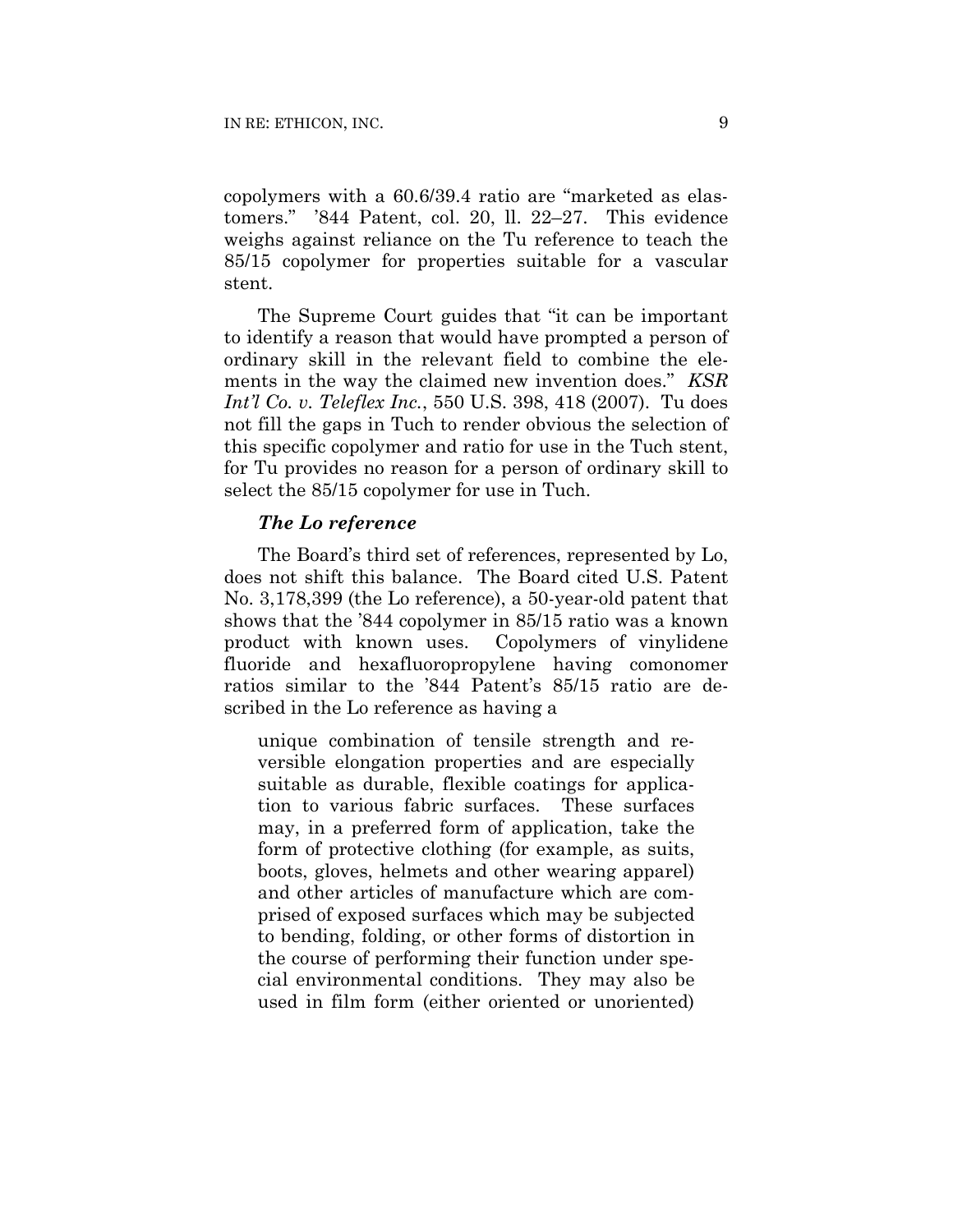copolymers with a 60.6/39.4 ratio are "marketed as elastomers." '844 Patent, col. 20, ll. 22–27. This evidence weighs against reliance on the Tu reference to teach the 85/15 copolymer for properties suitable for a vascular stent.

The Supreme Court guides that "it can be important to identify a reason that would have prompted a person of ordinary skill in the relevant field to combine the elements in the way the claimed new invention does." *KSR Int'l Co. v. Teleflex Inc.*, 550 U.S. 398, 418 (2007). Tu does not fill the gaps in Tuch to render obvious the selection of this specific copolymer and ratio for use in the Tuch stent, for Tu provides no reason for a person of ordinary skill to select the 85/15 copolymer for use in Tuch.

# *The Lo reference*

The Board's third set of references, represented by Lo, does not shift this balance. The Board cited U.S. Patent No. 3,178,399 (the Lo reference), a 50-year-old patent that shows that the '844 copolymer in 85/15 ratio was a known product with known uses. Copolymers of vinylidene fluoride and hexafluoropropylene having comonomer ratios similar to the '844 Patent's 85/15 ratio are described in the Lo reference as having a

unique combination of tensile strength and reversible elongation properties and are especially suitable as durable, flexible coatings for application to various fabric surfaces. These surfaces may, in a preferred form of application, take the form of protective clothing (for example, as suits, boots, gloves, helmets and other wearing apparel) and other articles of manufacture which are comprised of exposed surfaces which may be subjected to bending, folding, or other forms of distortion in the course of performing their function under special environmental conditions. They may also be used in film form (either oriented or unoriented)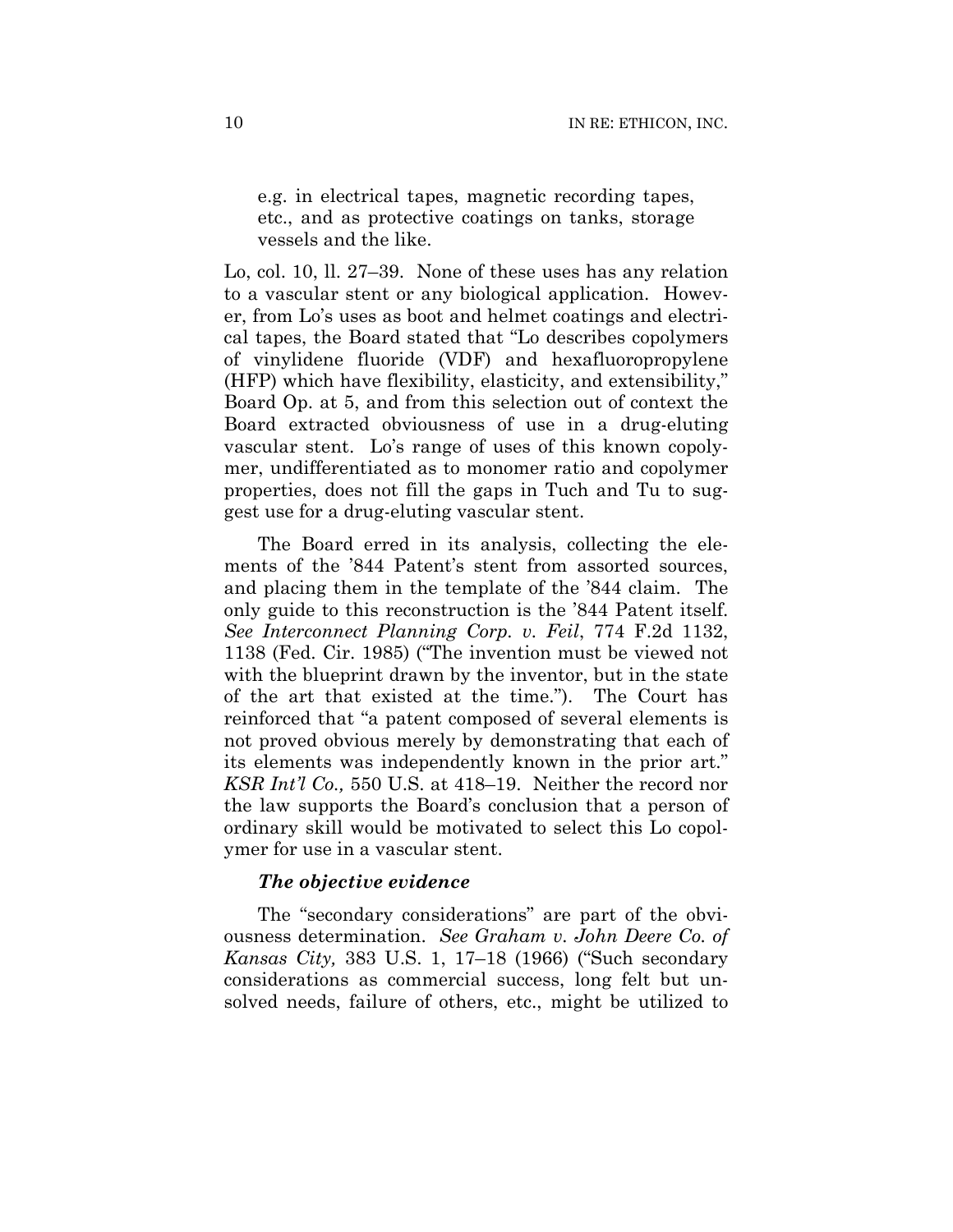e.g. in electrical tapes, magnetic recording tapes, etc., and as protective coatings on tanks, storage vessels and the like.

Lo, col. 10, ll. 27–39. None of these uses has any relation to a vascular stent or any biological application. However, from Lo's uses as boot and helmet coatings and electrical tapes, the Board stated that "Lo describes copolymers of vinylidene fluoride (VDF) and hexafluoropropylene (HFP) which have flexibility, elasticity, and extensibility," Board Op. at 5, and from this selection out of context the Board extracted obviousness of use in a drug-eluting vascular stent. Lo's range of uses of this known copolymer, undifferentiated as to monomer ratio and copolymer properties, does not fill the gaps in Tuch and Tu to suggest use for a drug-eluting vascular stent.

The Board erred in its analysis, collecting the elements of the '844 Patent's stent from assorted sources, and placing them in the template of the '844 claim. The only guide to this reconstruction is the '844 Patent itself. *See Interconnect Planning Corp. v. Feil*, 774 F.2d 1132, 1138 (Fed. Cir. 1985) ("The invention must be viewed not with the blueprint drawn by the inventor, but in the state of the art that existed at the time."). The Court has reinforced that "a patent composed of several elements is not proved obvious merely by demonstrating that each of its elements was independently known in the prior art." *KSR Int'l Co.,* 550 U.S. at 418–19. Neither the record nor the law supports the Board's conclusion that a person of ordinary skill would be motivated to select this Lo copolymer for use in a vascular stent.

## *The objective evidence*

The "secondary considerations" are part of the obviousness determination. *See Graham v. John Deere Co. of Kansas City,* 383 U.S. 1, 17–18 (1966) ("Such secondary considerations as commercial success, long felt but unsolved needs, failure of others, etc., might be utilized to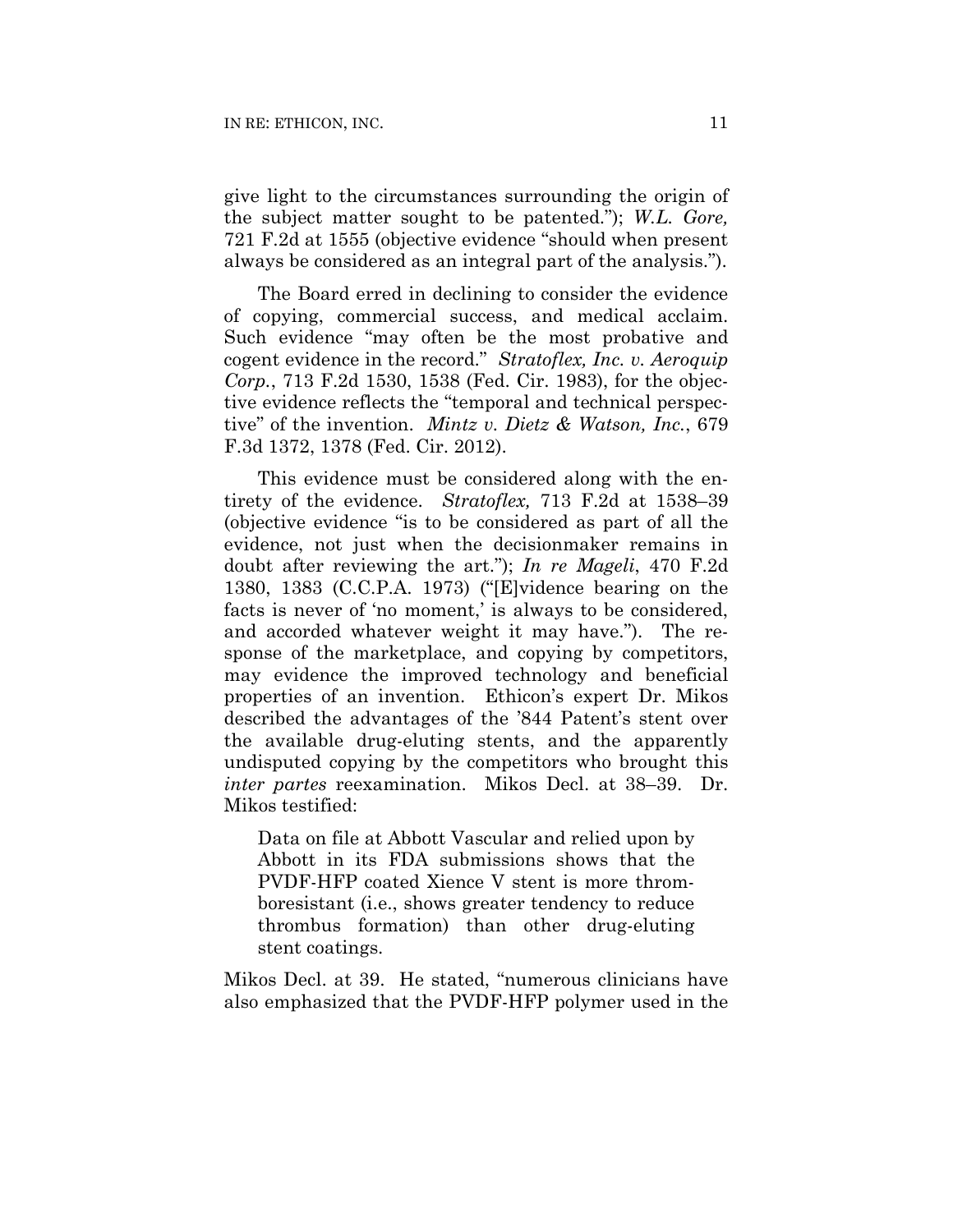give light to the circumstances surrounding the origin of the subject matter sought to be patented."); *W.L. Gore,* 721 F.2d at 1555 (objective evidence "should when present always be considered as an integral part of the analysis.").

The Board erred in declining to consider the evidence of copying, commercial success, and medical acclaim. Such evidence "may often be the most probative and cogent evidence in the record." *Stratoflex, Inc. v. Aeroquip Corp.*, 713 F.2d 1530, 1538 (Fed. Cir. 1983), for the objective evidence reflects the "temporal and technical perspective" of the invention. *Mintz v. Dietz & Watson, Inc.*, 679 F.3d 1372, 1378 (Fed. Cir. 2012).

This evidence must be considered along with the entirety of the evidence. *Stratoflex,* 713 F.2d at 1538–39 (objective evidence "is to be considered as part of all the evidence, not just when the decisionmaker remains in doubt after reviewing the art."); *In re Mageli*, 470 F.2d 1380, 1383 (C.C.P.A. 1973) ("[E]vidence bearing on the facts is never of 'no moment,' is always to be considered, and accorded whatever weight it may have."). The response of the marketplace, and copying by competitors, may evidence the improved technology and beneficial properties of an invention. Ethicon's expert Dr. Mikos described the advantages of the '844 Patent's stent over the available drug-eluting stents, and the apparently undisputed copying by the competitors who brought this *inter partes* reexamination. Mikos Decl. at 38–39. Dr. Mikos testified:

Data on file at Abbott Vascular and relied upon by Abbott in its FDA submissions shows that the PVDF-HFP coated Xience V stent is more thromboresistant (i.e., shows greater tendency to reduce thrombus formation) than other drug-eluting stent coatings.

Mikos Decl. at 39. He stated, "numerous clinicians have also emphasized that the PVDF-HFP polymer used in the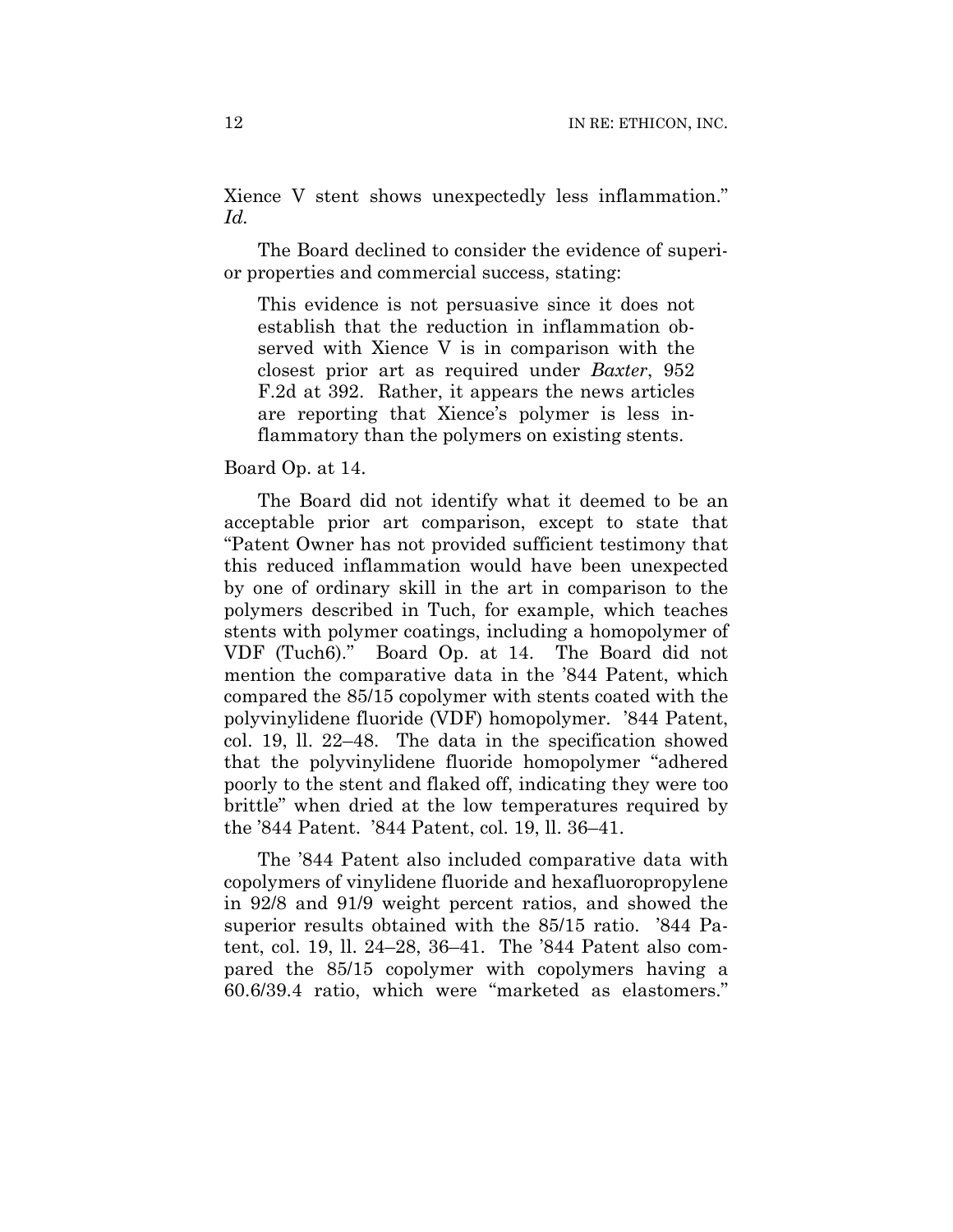Xience V stent shows unexpectedly less inflammation." *Id.*

The Board declined to consider the evidence of superior properties and commercial success, stating:

This evidence is not persuasive since it does not establish that the reduction in inflammation observed with Xience V is in comparison with the closest prior art as required under *Baxter*, 952 F.2d at 392. Rather, it appears the news articles are reporting that Xience's polymer is less inflammatory than the polymers on existing stents.

#### Board Op. at 14.

The Board did not identify what it deemed to be an acceptable prior art comparison, except to state that "Patent Owner has not provided sufficient testimony that this reduced inflammation would have been unexpected by one of ordinary skill in the art in comparison to the polymers described in Tuch, for example, which teaches stents with polymer coatings, including a homopolymer of VDF (Tuch6)." Board Op. at 14. The Board did not mention the comparative data in the '844 Patent, which compared the 85/15 copolymer with stents coated with the polyvinylidene fluoride (VDF) homopolymer. '844 Patent, col. 19, ll. 22–48. The data in the specification showed that the polyvinylidene fluoride homopolymer "adhered poorly to the stent and flaked off, indicating they were too brittle" when dried at the low temperatures required by the '844 Patent. '844 Patent, col. 19, ll. 36–41.

The '844 Patent also included comparative data with copolymers of vinylidene fluoride and hexafluoropropylene in 92/8 and 91/9 weight percent ratios, and showed the superior results obtained with the 85/15 ratio. '844 Patent, col. 19, ll. 24–28, 36–41. The '844 Patent also compared the 85/15 copolymer with copolymers having a 60.6/39.4 ratio, which were "marketed as elastomers."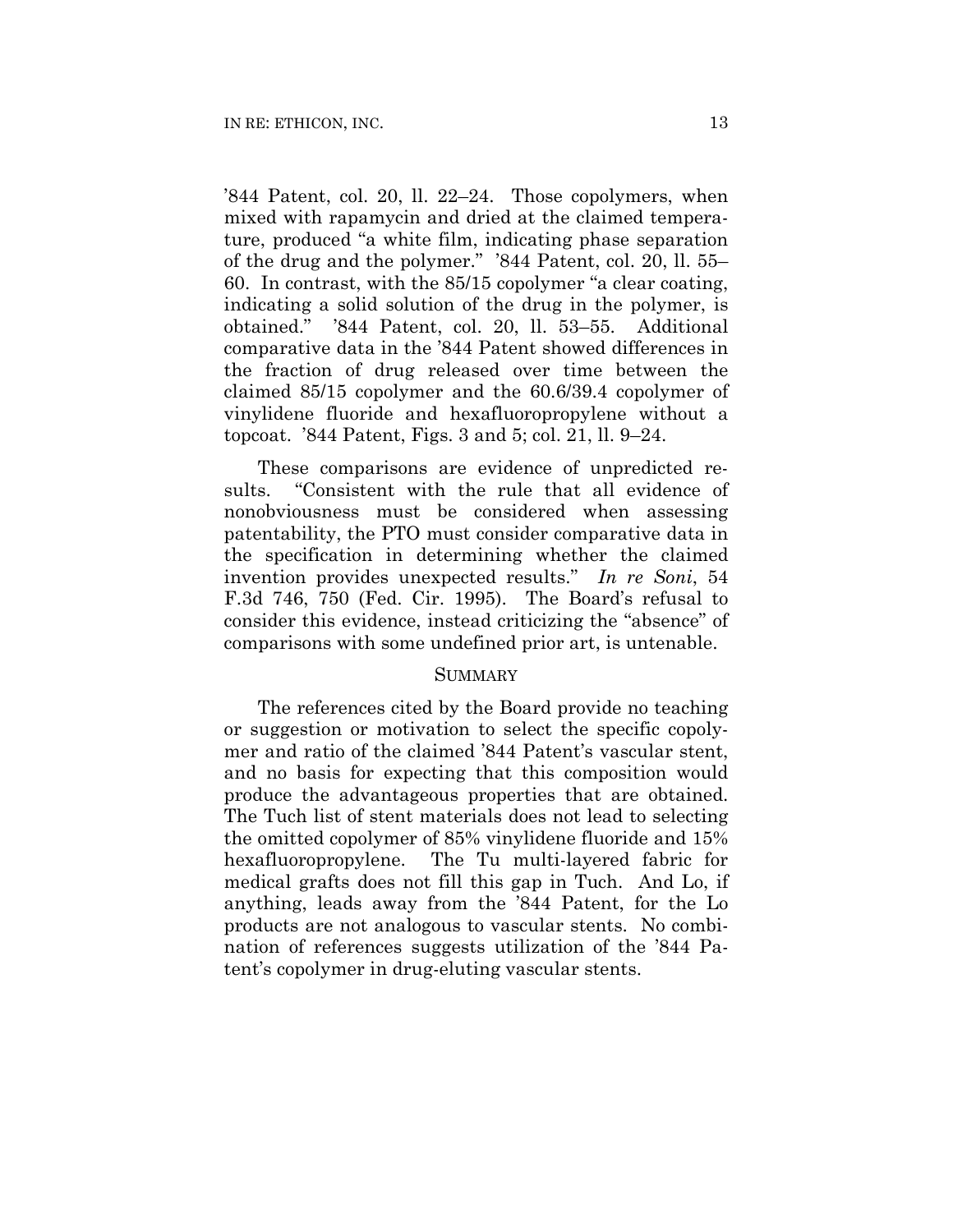'844 Patent, col. 20, ll. 22–24. Those copolymers, when mixed with rapamycin and dried at the claimed temperature, produced "a white film, indicating phase separation of the drug and the polymer." '844 Patent, col. 20, ll. 55– 60. In contrast, with the 85/15 copolymer "a clear coating, indicating a solid solution of the drug in the polymer, is obtained." '844 Patent, col. 20, ll. 53–55. Additional comparative data in the '844 Patent showed differences in the fraction of drug released over time between the claimed 85/15 copolymer and the 60.6/39.4 copolymer of vinylidene fluoride and hexafluoropropylene without a topcoat. '844 Patent, Figs. 3 and 5; col. 21, ll. 9–24.

These comparisons are evidence of unpredicted results. "Consistent with the rule that all evidence of nonobviousness must be considered when assessing patentability, the PTO must consider comparative data in the specification in determining whether the claimed invention provides unexpected results." *In re Soni*, 54 F.3d 746, 750 (Fed. Cir. 1995). The Board's refusal to consider this evidence, instead criticizing the "absence" of comparisons with some undefined prior art, is untenable.

# **SUMMARY**

The references cited by the Board provide no teaching or suggestion or motivation to select the specific copolymer and ratio of the claimed '844 Patent's vascular stent, and no basis for expecting that this composition would produce the advantageous properties that are obtained. The Tuch list of stent materials does not lead to selecting the omitted copolymer of 85% vinylidene fluoride and 15% hexafluoropropylene. The Tu multi-layered fabric for medical grafts does not fill this gap in Tuch. And Lo, if anything, leads away from the '844 Patent, for the Lo products are not analogous to vascular stents. No combination of references suggests utilization of the '844 Patent's copolymer in drug-eluting vascular stents.